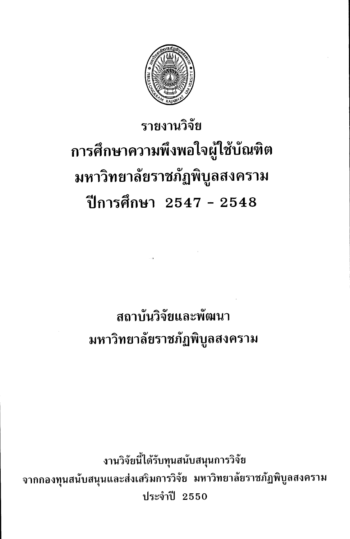

# รายงานวิจัย การศึกษาความพึ่งพอใจผู้ใช้บัณฑิต มหาวิทยาลัยราชภัฏพิบูลสงคราม ปีการศึกษา 2547 - 2548

## สถาบันวิจัยและพัฒนา มหาวิทยาลัยราชภัฏพิบูลสงคราม

งานวิจัยนี้ได้รับทุนสนับสนุนการวิจัย จากกองทุนสนับสนุนและส่งเสริมการวิจัย มหาวิทยาลัยราชภัฏพิบูลสงคราม **าไระจำปี 2550**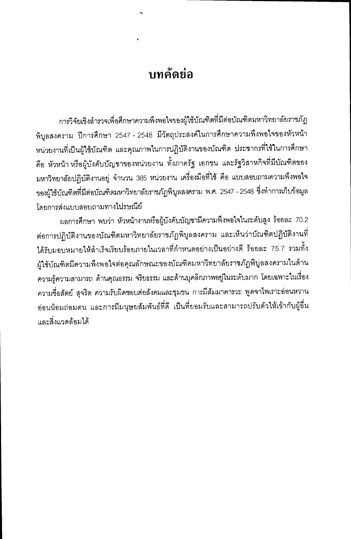### <u>ำเทคัดย่อ</u>

การวิจัยเชิงสำรวจเพื่อศึกษาความพึงพอใจของผู้ใช้บัณฑิตที่มีต่อบัณฑิตมหาวิทยาลัยราชภัฏ พิบูลสงคราม ปีการศึกษา 2547 - 2548 มีวัตถุประสงค์ในการศึกษาความพึงพอใจของหัวหน้า หน่วยงานที่เป็นผู้ใช้บัณฑิต และคุณภาพในการปฏิบัติงานของบัณฑิต ประชากรที่ใช้ในการศึกษา คือ หัวหน้า หรือผู้บังคับบัญชาของหน่วยงาน ทั้งภาครัฐ เอกชน และรัฐวิสาหกิจที่มีบัณฑิตของ มหาวิทยาลัยปฏิบัติงานอยู่ จำนวน 385 หน่วยงาน เครื่องมือที่ใช้ คือ แบบสอบถามความพึงพอใจ ของผู้ใช้บัณฑิตที่มีต่อบัณฑิตมหาวิทยาลัยราชภัฏพิบูลสงคราม พ.ศ. 2547–2548 ซึ่งทำการเก็บข้อมูล โดยการส่งแบบสอบถามทางไปรษณีย์

ผลการศึกษา พบว่า หัวหน้างานหรือผู้บังคับบัญชามีความพึงพอใจในระดับสูง ร้อยละ 70.2 ต่อการปฏิบัติงานของบัณฑิตมหาวิทยาลัยราชภัฏพิบูลสงคราม และเห็นว่าบัณฑิตปฏิบัติงานที่ ได้รับมอบหมายให้สำเร็จเรียบร้อยภายในเวลาที่กำหนดอย่างเป็นอย่างดี ร้อยละ 75.7 รวมทั้ง ผู้ใช้บัณฑิตมีความพึงพอใจต่อคุณลักษณะของบัณฑิตมหาวิทยาลัยราชภัฏพิบูลสงครามในด้าน ความรู้ความสามารถ ด้านคุณธรรม จริยธรรม และด้านบุคลิกภาพอยู่ในระดับมาก โดยเฉพาะในเรื่อง ความชื่อสัตย์ สุจริต ความรับผิดชอบต่อสังคมและชุมชน การมีสัมมาคารวะ พูดจาไพเราะอ่อนหวาน อ่อนน้อมถ่อมตน และการมีมนุษยสัมพันธ์ที่ดี เป็นที่ยอมรับและสามารถปรับตัวให้เข้ากับผู้อื่น และสิ่งแวดล้อมได้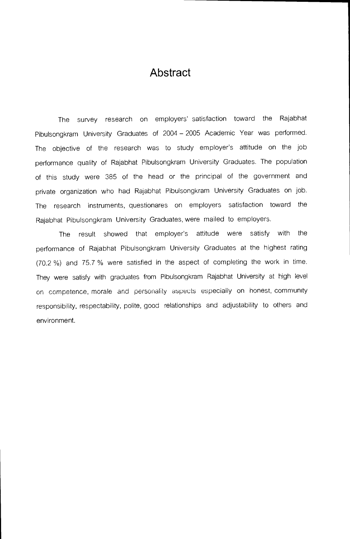#### Abstract

The survey research on employers' satisfaction toward the Rajabhat Pibulsongkram University Graduates of 2004 — 2005 Academic Year was performed. The objective of the research was to study employer's attitude on the job performance quality of Rajabhat Pibulsongkram University Graduates. The population of this study were 385 of the head or the principal of the government and private organization who had Rajabhat Pibulsongkram University Graduates on job. The research instruments, questionares on employers satisfaction toward the Rajabhat Pibulsongkram University Graduates, were mailed to employers.

The result showed that employer's attitude were satisfy with the performance of Rajabhat Pibulsongkram University Graduates at the highest rating (70.2 %) and 75.7 % were satisfied in the aspect of completing the work in time. They were satisfy with graduates from Pibulsongkram Rajabhat University at high level on competence, morale and personality aspects especially on honest, community responsibility, respectability, polite, good relationships and adjustability to others and environment.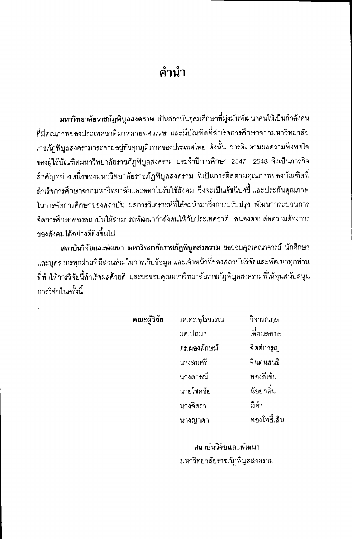### ้คำนำ

มหาวิทยาลัยราชภัฏพิบูลสงคราม เป็นสถาบันอุดมศึกษาที่มุ่งมั่นพัฒนาคนให้เป็นกำลังคน ที่มีคุณภาพของประเทศชาติมาหลายทศวรรษ และมีบัณฑิตที่สำเร็จการศึกษาจากมหาวิทยาลัย ราชภัฏพิบูลสงครามกระจายอยู่ทั่วทุกภูมิภาคของประเทศไทย ดังนั้น การติดตามผลความพึงพอใจ ของผู้ใช้บัณฑิตมหาวิทยาลัยราชภัฏพิบูลสงคราม ประจำปีการศึกษา 2547 – 2548 จึงเป็นภารกิจ ้สำคัญอย่างหนึ่งของมหาวิทยาลัยราชภัฏพิบูลสงคราม ที่เป็นการติดตามคุณภาพของบัณฑิตที่ ้สำเร็จการศึกษาจากมหาวิทยาลัยและออกไปรับใช้สังคม ซึ่งจะเป็นดัชนีบ่งชี้ และประกันคุณภาพ ในการจัดการศึกษาของสถาบัน ผลการวิเคราะห์ที่ได้จะนำมาซึ่งการปรับปรุง พัฒนากระบวนการ ้จัดการศึกษาของสถาบันให้สามารถพัฒนากำลังคนให้กับประเทศชาติ สนองตอบต่อความต้องการ ของสังคมได้คย่างดียิ่งขึ้นไป

สถาบันวิจัยและพัฒนา มหาวิทยาลัยราชภัฏพิบูลสงคราม ขอขอบคุณคณาจารย์ นักศึกษา และบุคลากรทุกฝ่ายที่มีส่วนร่วมในการเก็บข้อมูล และเจ้าหน้าที่ของสถาบันวิจัยและพัฒนาทุกท่าน ู้ที่ทำให้การวิจัยนี้สำเร็จผลด้วยดี และขอขอบคุณมหาวิทยาลัยราชภัฏพิบูลสงครามที่ให้ทุนสนับสนุน การวิจัยในครั้งนี้

| คณะผู้วิจัย | รศ.ดร.อุไรวรรณ | วิจารณกุล    |
|-------------|----------------|--------------|
|             | ผศ.ปถมา        | เอี่ยมสอาด   |
|             | ดร.ผ่องลักษม์  | จิตต์การุญ   |
|             | นางสมศรี       | จินตนสนธิ    |
|             | นางดารณี       | ทองสีเข้ม    |
|             | นายโซคชัย      | น้อยกลิ่น    |
|             | นางจิตรา       | มีคำ         |
|             | นางญาดา        | ทองโพธิ์เล็น |

สถาบันวิจัยและพัฒนา มหาวิทยาลัยราชภัฏพิบูลสงคราม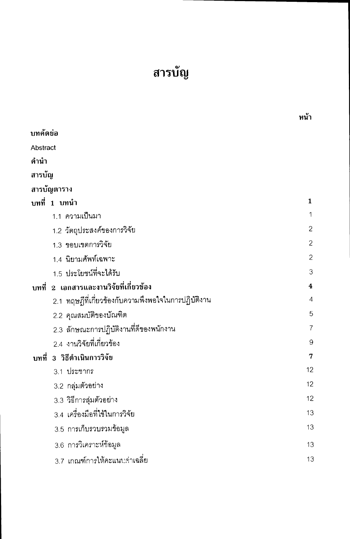## สารบัญ

|                                                     | ทน้า           |
|-----------------------------------------------------|----------------|
| บทคัดย่อ                                            |                |
| Abstract                                            |                |
| คำนำ                                                |                |
| สารบัญ                                              |                |
| สารบัญตาราง                                         |                |
| บทที่ 1 บทนำ                                        | 1              |
| 1.1 ความเป็นมา                                      | 1              |
| 1.2 วัตถุประสงค์ของการวิจัย                         | $\overline{c}$ |
| 1.3 ขอบเขตการวิจัย                                  | $\overline{c}$ |
| 1.4 นิยามศัพท์เฉพาะ                                 | $\mathbf{2}$   |
| 1.5 ประโยชน์ที่จะได้รับ                             | 3              |
| บทที่ 2 เอกสารและงานวิจัยที่เกี่ยวข้อง              | $\ddagger$     |
| 2.1 ทฤษฎีที่เกี่ยวข้องกับความพึงพอใจในการปฏิบัติงาน | $\overline{4}$ |
| 2.2 คุณสมบัติของบัณฑิต                              | 5              |
| 2.3 ลักษณะการปฏิบัติงานที่ดีของพนักงาน              | 7              |
| 2.4 งานวิจัยที่เกี่ยวข้อง                           | 9              |
| บทที่ 3 วิธีดำเนินการวิจัย                          | $\overline{7}$ |
| 3.1 ประชากร                                         | 12             |
| 3.2 กลุ่มตัวอย่าง                                   | 12             |
| 3.3 วิธีการสุ่มตัวอย่าง                             | 12             |
| 3.4 เครื่องมือที่ใช้ในการวิจัย                      | 13             |
| 3.5 การเก็บรวบรวมข้อมูล                             | 13             |
| 3.6 การวิเคราะห์ข้อมูล                              | 13             |
| 3.7 เกณฑ์การให้คะแนนค่าเฉลี่ย                       | 13             |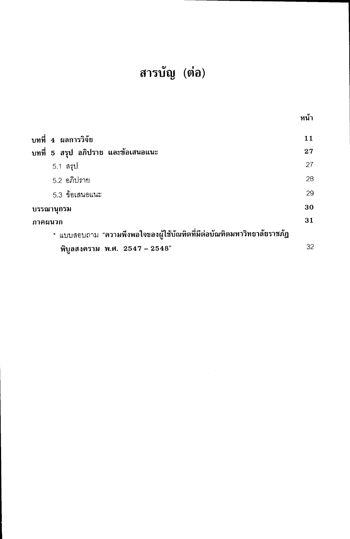## สารบัญ (ต่อ)

|                                                                        | หน้า |
|------------------------------------------------------------------------|------|
| ี บทที่ 4 ผลการวิจัย                                                   | 11   |
| บทที่ 5 สรุป อภิปราย และข้อเสนอแนะ                                     | 27   |
| 5.1 สรุป                                                               | 27   |
| 5.2 อภิปราย                                                            | 28   |
| 5.3 ข้อเสนอแนะ                                                         | 29   |
| <b>ิบรรณานุกรม</b>                                                     | 30   |
| ้ภาคผนวก                                                               | 31   |
| * แบบสอบถาม "ความพึงพอใจของผู้ใช้บัณฑิตที่มีต่อบัณฑิตมหาวิทยาลัยราชภัฏ |      |
| พิบูลสงคราม พ.ศ. 2547 - 2548"                                          | 32   |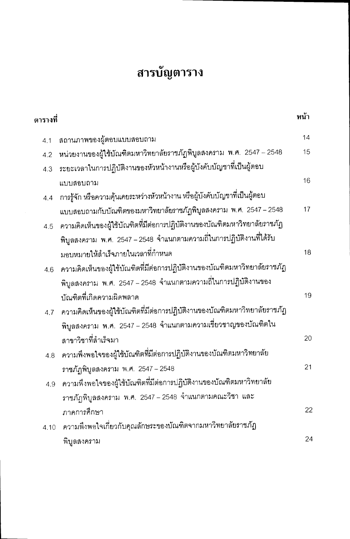## สารบัญตาราง

| ตารางที่ |                                                                            | หน้า |
|----------|----------------------------------------------------------------------------|------|
| 4.1      | สถานภาพของผู้ตอบแบบสอบถาม                                                  | 14   |
| 4.2      | หน่วยงานของผู้ใช้บัณฑิตมหาวิทยาลัยราชภัฏพิบูลสงคราม พ.ศ. 2547 – 2548       | 15   |
| 4.3      | ระยะเวลาในการปฏิบัติงานของหัวหน้างานหรือผู้บังคับบัญชาที่เป็นผู้ตอบ        |      |
|          | แบบสอบถาม                                                                  | 16   |
| 4.4      | การรู้จัก หรือความคุ้นเคยระหว่างหัวหน้างาน หรือผู้บังคับบัญชาที่เป็นผู้ตอบ |      |
|          | แบบสอบถามกับบัณฑิตของมหาวิทยาลัยราชภัฏพิบูลสงคราม พ.ศ. 2547 – 2548         | 17   |
| 4.5      | ความคิดเห็นของผู้ใช้บัณฑิตที่มีต่อการปฏิบัติงานของบัณฑิตมหาวิทยาลัยราชภัฏ  |      |
|          | พิบูลสงคราม พ.ศ. 2547 – 2548 จำแนกตามความถี่ในการปฏิบัติงานที่ได้รับ       |      |
|          | มอบหมายให้ลำเร็จภายในเวลาที่กำหนด                                          | 18   |
| 4.6      | ความคิดเห็นของผู้ใช้บัณฑิตที่มีต่อการปฏิบัติงานของบัณฑิตมหาวิทยาลัยราชภัฏ  |      |
|          | พิบูลสงคราม พ.ศ. 2547 – 2548 จำแนกตามความถี่ในการปฏิบัติงานของ             |      |
|          | บัณฑิตที่เกิดความผิดพลาด                                                   | 19   |
| 4.7      | ความคิดเห็นของผู้ใช้บัณฑิตที่มีต่อการปฏิบัติงานของบัณฑิตมหาวิทยาลัยราชภัฏ  |      |
|          | พิบูลสงคราม พ.ศ. 2547 – 2548 จำแนกตามความเชี่ยวชาญของบัณฑิตใน              |      |
|          | สาขาวิชาที่สำเร็จมา                                                        | 20   |
| 4.8      | ความพึงพอใจของผู้ใช้บัณฑิตที่มีต่อการปฏิบัติงานของบัณฑิตมหาวิทยาลัย        |      |
|          | ราชภัฏพิบูลสงคราม พ.ศ. 2547 - 2548                                         | 21   |
| 4.9      | ความพึงพอใจของผู้ใช้บัณฑิตที่มีต่อการปฏิบัติงานของบัณฑิตมหาวิทยาลัย        |      |
|          | ราชภัฏพิบูลสงคราม พ.ศ. 2547 – 2548 จำแนกตามคณะวิชา และ                     |      |
|          | ภาคการศึกษา                                                                | 22   |
| 4.10     | ความพึงพอใจเกี่ยวกับคุณลักษระของบัณฑิตจากมหาวิทยาลัยราชภัฏ                 |      |
|          | พิบูลสงคราม                                                                | 24   |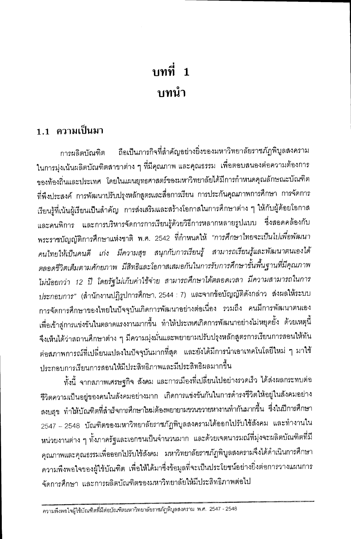## บทที่ 1 บทนำ

### 1.1 ความเป็นมา

ถือเป็นภารกิจที่สำคัญอย่างยิ่งของมหาวิทยาลัยราชภัฏพิบูลสงคราม การผลิตบัณฑิต ในการมุ่งเน้นผลิตบัณฑิตสาขาต่าง ๆ ที่มีคุณภาพ และคุณธรรม เพื่อตอบสนองต่อความต้องการ ของท้องถิ่นและประเทศ โดยในแผนยุทธศาสตร์ของมหาวิทยาลัยได้มีการกำหนดคุณลักษณะบัณฑิต ที่พึงประสงค์ การพัฒนาปรับปรุงหลักสูตรและสื่อการเรียน การประกันคุณภาพการศึกษา การจัดการ เรียนรู้ที่เน้นผู้เรียนเป็นลำคัญ การส่งเสริมและสร้างโอกาสในการศึกษาต่าง ๆ ให้กับผู้ด้อยโอกาส และคนพิการ และการบริหารจัดการการเรียนรู้ด้วยวิธีการหลากหลายรูปแบบ ซึ่งสอดคล้องกับ พระราชบัญญัติการศึกษาแห่งชาติ พ.ศ. 2542 ที่กำหนดให้ *"การศึกษาไทยจะเป็นไปเพื่อพัฒนา* คนไทยให้เป็นคนดี เก่ง มีความสุข สนุกกับการเรียนรู้ สามารถเรียนรู้และพัฒนาตนเองได้ ตลอดชีวิตเต็มตามศักยภาพ มีสิทธิและโอกาสเสมอกันในการรับการศึกษาขั้นพื้นฐานที่มีคุณภาพ ไม่น้อยกว่า 12 ปี โดยรัฐไม่เก็บค่าใช้จ่าย สามารถศึกษาได้ตลอดเวลา มีความสามารถในการ ประกอบการ" (สำนักงานปฏิรูปการศึกษา, 2544 : 7) และจากข้อบัญญัติดังกล่าว ส่งผลให้ระบบ การจัดการศึกษาของไทยในปัจจุบันเกิดการพัฒนาอย่างต่อเนื่อง รวมถึง คนมีการพัฒนาตนเอง เพื่อเข้าสู่การแข่งขันในตลาดแรงงานมากขึ้น ทำให้ประเทศเกิดการพัฒนาอย่างไม่หยุดยั้ง ด้วยเหตุนี้ จึงเห็นได้ว่าสถานศึกษาต่าง ๆ มีความมุ่งมั่นและพยายามปรับปรุงหลักสูตรการเรียนการสอนให้ทัน ต่อสภาพการณ์ที่เปลี่ยนแปลงในปัจจุบันมากที่สุด และยังได้มีการนำเอาเทคโนโลยีใหม่ ๆ มาใช้ ประกอบการเรียนการสอนให้มีประสิทธิภาพและมีประสิทธิผลมากขึ้น

ทั้งนี้ จากสภาพเศรษฐกิจ สังคม และการเมืองที่เปลี่ยนไปอย่างรวดเร็ว ได้ส่งผลกระทบต่อ ชีวิตความเป็นอยู่ของคนในสังคมอย่างมาก เกิดการแข่งขันกันในการดำรงชีวิตให้อยู่ในสังคมอย่าง สงบสุข ทำให้บัณฑิตที่สำเร็จการศึกษาใหม่ต้องพยายามขวนขวายหางานทำกันมากขึ้น ซึ่งในปีการศึกษา 2547 – 2548 บัณฑิตของมหาวิทยาลัยราชภัฏพิบูลสงครามได้ออกไปรับใช้สังคม และทำงานใน หน่วยงานต่าง ๆ ทั้งภาครัฐและเอกชนเป็นจำนวนมาก และด้วยเจตนารมณ์ที่มุ่งจะผลิตบัณฑิตที่มี คุณภาพและคุณธรรมเพื่อออกไปรับใช้สังคม มหาวิทยาลัยราชภัฏพิบูลสงครามจึงได้ดำเนินการศึกษา ความพึงพอใจของผู้ใช้บัณฑิต เพื่อให้ได้มาซึ่งข้อมูลที่จะเป็นประโยชน์อย่างยิ่งต่อการวางแผนการ จัดการศึกษา และการผลิตบัณฑิตของมหาวิทยาลัยให้มีประสิทธิภาพต่อไป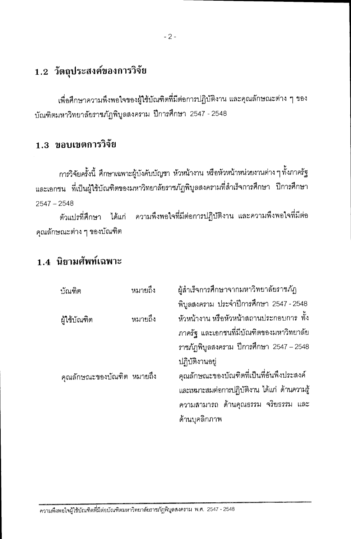### 1.2 วัตถุประสงค์ของการวิจัย

เพื่อศึกษาความพึงพอใจของผู้ใช้บัณฑิตที่มีต่อการปฏิบัติงาน และคุณลักษณะต่าง ๆ ของ บัณฑิตมหาวิทยาลัยราชภัฏพิบูลสงคราม ปีการศึกษา 2547 - 2548

### 1.3 ขอบเขตการวิจัย

การวิจัยครั้งนี้ ศึกษาเฉพาะผู้บังคับบัญชา หัวหน้างาน หรือหัวหน้าหน่วยงานต่าง ๆ ทั้งภาครัฐ และเอกชน ที่เป็นผู้ใช้บัณฑิตของมหาวิทยาลัยราชภัฏพิบูลสงครามที่สำเร็จการศึกษา ปีการศึกษา  $2547 - 2548$ 

ตัวแปรที่ศึกษา ได้แก่ ความพึงพอใจที่มีต่อการปฏิบัติงาน และความพึงพอใจที่มีต่อ คุณลักษณะต่าง ๆ ของบัณฑิต

### 1.4 นิยามศัพท์เฉพาะ

| บัณฑิต                     | หมายถึง | ผู้ลำเร็จการศึกษาจากมหาวิทยาลัยราชภัฏ         |
|----------------------------|---------|-----------------------------------------------|
|                            |         | พิบูลสงคราม ประจำปีการศึกษา 2547 - 2548       |
| ผู้ใช้บัณฑิต               | หมายถึง | หัวหน้างาน หรือหัวหน้าสถานประกอบการ ทั้ง      |
|                            |         | ภาครัฐ และเอกชนที่มีบัณฑิตของมหาวิทยาลัย      |
|                            |         | ภาชภัฏพิบูลสงคราม ปีการศึกษา 2547 - 2548      |
|                            |         | ปฏิบัติงานอยู่                                |
| คุณลักษณะของบัณฑิต หมายถึง |         | คุณลักษณะของบัณฑิตที่เป็นที่อันพึงประสงค์     |
|                            |         | และเหมาะสมต่อการปฏิบัติงาน ได้แก่ ด้านความรู้ |
|                            |         | ความสามารถ ด้านคุณธรรม จริยธรรม และ           |
|                            |         | ด้านบุคลิกภาพ                                 |
|                            |         |                                               |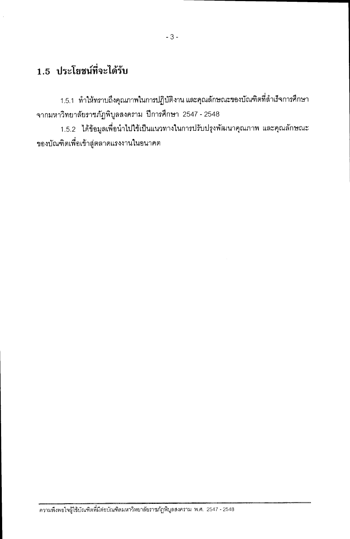### 1.5 ประโยชน์ที่จะได้รับ

1.5.1 ทำให้ทราบถึงคุณภาพในการปฏิบัติงาน และคุณลักษณะของบัณฑิตที่สำเร็จการศึกษา จากมหาวิทยาลัยราชภัฏพิบูลสงคราม ปีการศึกษา 2547 - 2548

1.5.2 ได้ข้อมูลเพื่อนำไปใช้เป็นแนวทางในการปรับปรุงพัฒนาคุณภาพ และคุณลักษณะ ของบัณฑิตเพื่อเข้าสู่ตลาดแรงงานในอนาคต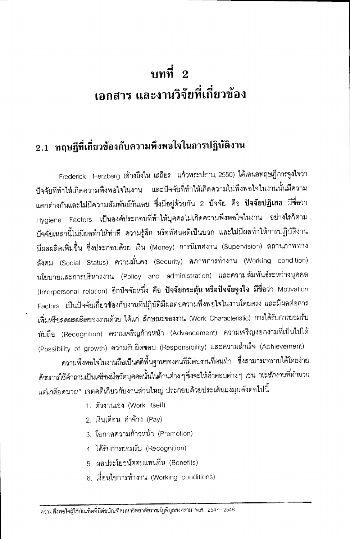## บทที่  $2$ เอกสาร และงานวิจัยที่เกี่ยวข้อง

### 2.1 ทฤษฎีที่เกี่ยวข้องกับความพึงพอใจในการปฏิบัติงาน

Frederick Herzberg (อ้างถึงใน เสถียร แก้วพระปราบ, 2550) ได้เสนอทฤษฎีการจูงใจว่า ปัจจัยที่ทำให้เกิดความพึงพอใจในงาน และปัจจัยที่ทำให้เกิดความไม่พึงพอใจในงานนั้นมีความ แตกต่างกันและไม่มีความสัมพันธ์กันเลย ซึ่งมีอยู่ด้วยกัน 2 ปัจจัย คือ **ปัจจัยปฏิเสธ** มีชื่อว่า Hygiene Factors เป็นองค์ประกอบที่ทำให้บุคคลไม่เกิดความพึงพอใจในงาน อย่างไรก็ตาม บัจจัยเหล่านี้ไม่มีผลทำให้ท่าที ความรู้สึก หรือทัศนคติเป็นบวก และไม่มีผลทำให้การปฏิบัติงาน มีผลผลิตเพิ่มขึ้น ซึ่งประกอบด้วย เงิน (Money) การนิเทศงาน (Supervision) สถานภาพทาง ์สังคม (Social Status) ความมั่นคง (Security) สภาพการทำงาน (Working condition) นโยบายและการบริหารงาน (Policy and administration) และความสัมพันธ์ระหว่างบุคคล (Interpersonal relation) อีกปัจจัยหนึ่ง คือ ปัจจั<mark>ยกระตุ้น หรือปัจจัยจูงใจ</mark> มีชื่อว่า Motivation Factors เป็นปัจจัยเกี่ยวข้องกับงานที่ปฏิบัติมีผลต่อความพึงพอใจในงานโดยตรง และมีผลต่อการ เพิ่มหรือลดผลผลิตของงานด้วย ได้แก่ ลักษณะของงาน (Work Characteristic) การได้รับการยอมรับ นับถือ (Recognition) ความเจริญก้าวหน้า (Advancement) ความเจริญงอกงามที่เป็นไปได้ (Possibility of growth) ความรับผิดชอบ (Responsibility) และความลำเร็จ (Achievement)

ความพึงพอใจในงานถือเป็นคติพื้นฐานของคนที่มีต่องานที่ตนทำ ซึ่งสามารถทราบได้โดยง่าย ด้วยการใช้คำถามเป็นเครื่องมือวัดบุคคลนั้นในด้านต่าง ๆ ซึ่งจะให้คำตอบต่าง ๆ เช่น *"ผมรักงานที่ทำมาก* แต่เกลียดนาย" เจตคติเกี่ยวกับงานส่วนใหญ่ ประกอบด้วยประเด็นแง่มุมดังต่อไปนี้

- 1. ตัวงานเอง (Work itself)
- 2. เงินเดือน ค่าจ้าง (Pay)
- 3. โอกาสความก้าวหน้า (Promotion)
- 4. ได้รับการยอมรับ (Recognition)
- 5 ผลประโยชน์ตอบแทนอื่น (Benefits)
- 6. เงื่อนไขการทำงาน (Working conditions)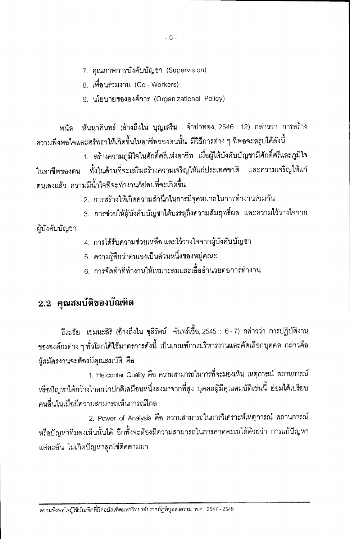- $-5-$
- 7. คุณภาพการบังคับบัญชา (Supervision)

8. เพื่อนร่วมงาน (Co - Workers)

9. นโยบายขององค์การ (Organizational Policy)

พนัส หันนาคินทร์ (อ้างถึงใน บุญเสริม จำปาทอง, 2546 : 12) กล่าวว่า การสร้าง ้ความพึงพอใจและศรัทธาให้เกิดขึ้นในอาชีพของตนนั้น มีวิธีการต่าง ๆ ที่พอจะสรุปได้ดังนี้

1. สร้างความภูมิใจในศักดิ์ศรีแห่งอาชีพ เมื่อผู้ใต้บังคับบัญชามีศักดิ์ศรีและภูมิใจ ในอาชีพของตน ทั้งในด้านที่จะเสริมสร้างความเจริญให้แก่ประเทศชาติ และความเจริญให้แก่ ตนเองแล้ว ความมีน้ำใจที่จะทำงานก็ย่อมที่จะเกิดขึ้น

- 2. การสร้างให้เกิดความสำนึกในการมีจุดหมายในการทำงานร่วมกัน
- ่ 3. การช่วยให้ผ้บังคับบัญชาได้บรรลุถึงความสัมฤทธิ์ผล และความไว้วางใจจาก

ผู้บังคับบัญชา

- 4. การได้รับความช่วยเหลือ และไว้วางใจจากผู้บังคับบัญชา
- 5. ความรู้สึกว่าตนเองเป็นส่วนหนึ่งของหมู่คณะ
- .<br>6. การจัดทำที่ทำงานให้เหมาะสมและเอื้ออำนวยต่อการทำงาน

### 2.2 คุณสมบัติของบัณฑิต

ธีระชัย เขมนะสิริ (อ้างถึงใน ชุลีรัตน์ จันทร์เชื้อ, 2545 : 6 - 7) กล่าวว่า การปฏิบัติงาน ขององค์กรต่าง ๆ ทั่วโลกได้ใช้มาตรการดังนี้ เป็นเกณฑ์การบริหารงานและคัดเลือกบุคคล กล่าวคือ น้สมัครงานจะต้องมีคุณสมบัติ คือ

1. Helicopter Quality คือ ความสามารถในการที่จะมองเห็น เหตุการณ์ สถานการณ์ หรือปัญหาได้กว้างไกลกว่าปกติเสมือนหนึ่งลงมาจากที่สูง บุคคลผู้มีคุณสมบัติเช่นนี้ ย่อมได้เปรียบ ้คนคื่นในเมื่อมีความสามารถเห็นการณ์ไกล

2. Power of Analysis คือ ความสามารถในการวิเคราะห์เหตุการณ์ สถานการณ์ ้หรือปัญหาที่มองเห็นนั้นได้ อีกทั้งจะต้องมีความสามารถในการคาดคะเนได้ด้วยว่า การแก้ปัญหา ้แต่ละอัน ไม่เกิดปัญหาลูกโซ่ติดตามมา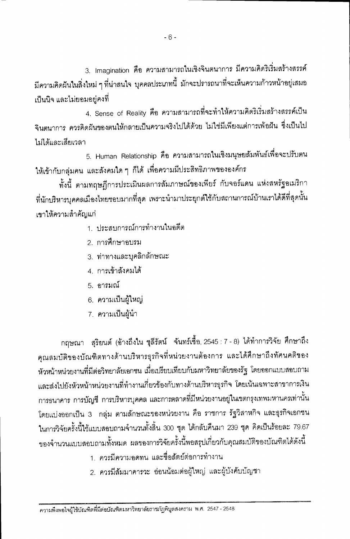3. Imagination คือ ความสามารถในเชิงจินตนาการ มีความคิดริเริ่มสร้างสรรค์ มีความคิดผันในสิ่งใหม่ ๆ ที่น่าสนใจ บุคคลประเภทนี้ มักจะปรารถนาที่จะเห็นความก้าวหน้าอยู่เสมอ ้เป็นนิจ และไม่ยอมอยู่คงที่

4. Sense of Reality คือ ความสามารถที่จะทำให้ความคิดริเริ่มสร้างสรรค์เป็น จินตนาการ ควรคิดฝันของตนให้กลายเป็นความจริงไปได้ด้วย ไม่ใช่มีเพียงแต่การเพ้อฝัน ซึ่งเป็นไป ไม่ได้และเสียเวลา

5. Human Relationship คือ ความสามารถในเชิงมนุษยสัมพันธ์เพื่อจะปรับตน ให้เข้ากับกลุ่มคน และสังคมใด ๆ ก็ได้ เพื่อความมีประสิทธิภาพขององค์กร

ทั้งนี้ ตามทฤษฎีการประเมินผลการสัมภาษณ์ของเพียร์ กับจอร์แดน แห่งสหรัฐอเมริกา ที่นักบริหารบุคคลเมืองไทยชอบมากที่สุด เพราะนำมาประยุกต์ใช้กับสถานการณ์บ้านเราได้ดีที่สุดนั้น เขาให้ความสำคัญแก่

- 1. ประสบการณ์การทำงานในอดีต
- 2 การศึกษาคบรม
- 3. ท่าทางและบุคลิกลักษณะ
- 4. การเข้าสังคมได้
- 5. คารมณ์
- 6. ความเป็นผู้ใหญ่
- 7. ความเป็นผู้นำ

กฤษณา สุริยนต์ (อ้างถึงใน ชุลีรัตน์ จันทร์เชื้อ, 2545 : 7 - 8) ได้ทำการวิจัย ศึกษาถึง คุณสมบัติของบัณฑิตทางด้านบริหารธุรกิจที่หน่วยงานต้องการ และได้ศึกษาถึงทัศนคติของ หัวหน้าหน่วยงานที่มีต่อวิทยาลัยเอกชน เมื่อเปรียบเทียบกับมหาวิทยาลัยของรัฐ โดยออกแบบสอบถาม และส่งไปยังหัวหน้าหน่วยงานที่ทำงานเกี่ยวข้องกับทางด้านบริหารธุรกิจ โดยเน้นเฉพาะสาขาการเงิน การธนาคาร การบัญชี การบริหารบุคคล และการตลาดที่มีหน่วยงานอยู่ในเขตกรุงเทพมหานครเท่านั้น โดยแบ่งออกเป็น 3 กลุ่ม ตามลักษณะของหน่วยงาน คือ ราชการ รัฐวิสาหกิจ และธุรกิจเอกชน ในการวิจัยครั้งนี้ใช้แบบสอบถามจำนวนทั้งสิ้น 300 ชุด ได้กลับคืนมา 239 ชุด คิดเป็นร้อยละ 79.67 ของจำนวนแบบสอบถามทั้งหมด ผลของการวิจัยครั้งนี้พอสรุปเกี่ยวกับคุณสมบัติของบัณฑิตได้ดังนี้

- 1. ควรมีความคดทน และซื้อสัตย์ต่อการทำงาน
- 2. ควรมีสัมมาคารวะ อ่อนน้อมต่อผู้ใหญ่ และผู้บังคับบัญชา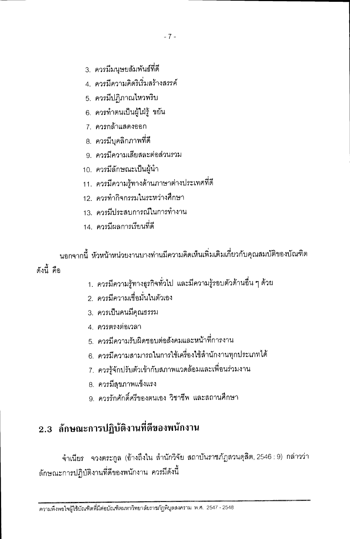- 3. ควรมีมนุษยสัมพันธ์ที่ดี
- 4 ควรมีความคิดริเริ่มสร้างสรรค์
- 5. ควรมีปฏิภาณไหวพริบ
- 6. ควรทำตนเป็นผู้ใฝ่รู้ ขยัน
- 7. ควรกล้าแสดงออก
- 8. ควรมีบุคลิกภาพที่ดี
- 9 ควรมีความเสียสละต่อส่วนรวม
- 10. ควรมีลักษณะเป็นผู้นำ
- 11. ควรมีความรู้ทางด้านภาษาต่างประเทศที่ดี
- 12. ควรทำกิจกรรมในระหว่างศึกษา
- 13 ควรมีประสบการณ์ในการทำงาน
- 14. ควรมีผลการเรียนที่ดี

นอกจากนี้ หัวหน้าหน่วยงานบางท่านมีความคิดเห็นเพิ่มเติมเกี่ยวกับคุณสมบัติของบัณฑิต ดังนี้ คือ

- 1. ควรมีความรู้ทางธุรกิจทั่วไป และมีความรู้รอบตัวด้านอื่น ๆ ด้วย
- 2. ควรมีความเชื่อมั่นในตัวเอง
- 3. ควรเป็นคนมีคณธรรม
- 4. ควรตรงต่อเวลา
- 5. ควรมีความรับผิดชอบต่อสังคมและหน้าที่การงาน
- 6. ควรมีความสามารถในการใช้เครื่องใช้สำนักงานทุกประเภทได้
- 7. ควรรู้จักปรับตัวเข้ากับสภาพแวดล้อมและเพื่อนร่วมงาน
- 8. ควรมีสขภาพแข็งแรง
- 9 ควรรักศักดิ์ศรีของตนเอง วิชาชีพ และสถานศึกษา

### 2.3 ลักษณะการปฏิบัติงานที่ดีของพนักงาน

จำเนียร จวงตระกูล (อ้างถึงใน ลำนักวิจัย สถาบันราชภัฏสวนดุสิต, 2546 : 9) กล่าวว่า ลักษณะการปฏิบัติงานที่ดีของพนักงาน ควรมีดังนี้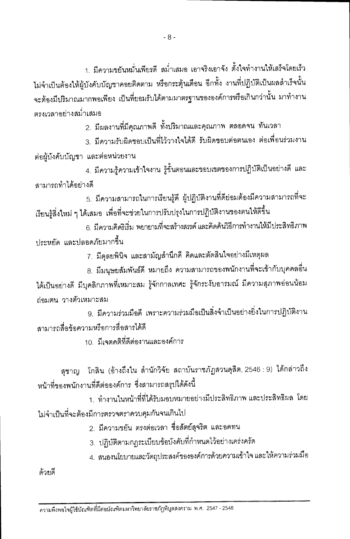$-8-$ 

1. มีความขยันหมั่นเพียรดี สม่ำเสมอ เอาจริงเอาจัง ตั้งใจทำงานให้เสร็จโดยเร็ว ไม่จำเป็นต้องให้ผู้บังคับบัญชาคอยติดตาม หรือกระตุ้นเตือน อีกทั้ง งานที่ปฎิบัติเป็นผลสำเร็จนั้น จะต้องมีปริมาณมากพอเพียง เป็นที่ยอมรับได้ตามมาตรฐานขององค์การหรือเกินกว่านั้น มาทำงาน ตรงเวลาอย่างสม่ำเสมอ

2. มีผลงานที่มีคุณภาพดี ทั้งปริมาณและคุณภาพ ตลอดจน ทันเวลา

3. มีความรับผิดชอบเป็นที่ไว้วางใจได้ดี รับผิดชอบต่อตนเอง ต่อเพื่อนร่วมงาน ต่อผู้บังคับบัญชา และต่อหน่วยงาน

4. มีความรู้ความเข้าใจงาน รู้ขั้นตอนและขอบเขตของการปฏิบัติเป็นอย่างดี และ สามารถทำได้คย่างดี

5. มีความสามารถในการเรียนรู้ดี ผู้ปฏิบัติงานที่ดีย่อมต้องมีความสามารถที่จะ เรียนรู้สิ่งใหม่ ๆ ได้เสมอ เพื่อที่จะช่วยในการปรับปรุงในการปฏิบัติงานของตนให้ดีขึ้น

6. มีความคิดริเริ่ม พยายามที่จะสร้างสรรค์ และคิดค้นวิธีการทำงานให้มีประสิทธิภาพ งโระหยัด และปลอดภัยมากขึ้น

7. มีดุลยพินิจ และสามัญสำนึกดี คิดและตัดสินใจอย่างมีเหตุผล

8. มีมนุษยสัมพันธ์ดี หมายถึง ความสามารถของพนักงานที่จะเข้ากับบุคคลอื่น ได้เป็นอย่างดี มีบุคลิกภาพที่เหมาะสม รู้จักกาลเทศะ รู้จักระงับอารมณ์ มีความสุภาพอ่อนน้อม ถ่ามตน วางตัวเหมาะสม

9. มีความร่วมมือดี เพราะความร่วมมือเป็นสิ่งจำเป็นอย่างยิ่งในการปฏิบัติงาน สามารถสื่อข้อความหรือการสื่อสารได้ดี

10 มีเจตคติที่ดีต่องานและองค์การ

สุชาญ - โกสิน (อ้างถึงใน สำนักวิจัย สถาบันราชภัฏสวนดุสิต, 2546 : 9) ได้กล่าวถึง หน้าที่ของพนักงานที่ดีต่อองค์การ ซึ่งสามารถสรุปได้ดังนี้

1. ทำงานในหน้าที่ที่ได้รับมอบหมายอย่างมีประสิทธิภาพ และประสิทธิผล โดย ไม่จำเป็นที่จะต้องมีการตรวจตราควบคุมกันจนเกินไป

2. มีความขยัน ตรงต่อเวลา ซื่อสัตย์สุจริต และอดทน

3. ปฏิบัติตามกฏระเบียบข้อบังคับที่กำหนดไว้อย่างเคร่งครัด

4. สนองนโยบายและวัตถุประสงค์ขององค์การด้วยความเข้าใจ และให้ความร่วมมือ

ด้วยดี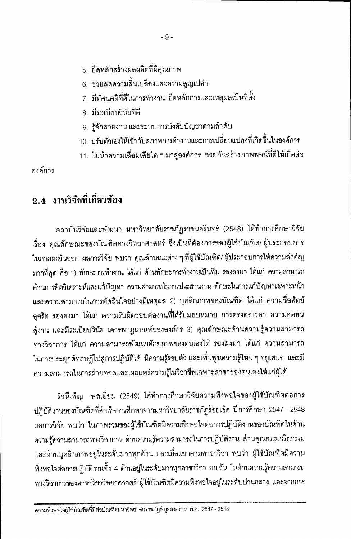- 5. ยึดหลักสร้างผลผลิตที่มีคุณภาพ
- ่ 6. ช่วยลดความสิ้นเปลืองและความสูญเปล่า
- 7. มีทัศนคติที่ดีในการทำงาน ยึดหลักการและเหตุผลเป็นที่ตั้ง
- 8. มีระเบียบวินัยที่ดี
- 9. รู้จักสายงาน และระบบการบังคับบัญชาตามลำดับ
- 10. ปรับตัวเองให้เข้ากับสภาพการทำงานและการเปลี่ยนแปลงที่เกิดขึ้นในองค์การ
- 11. ไม่นำความเสื่อมเสียใด ๆ มาสู่องค์การ ช่วยกันสร้างภาพพจน์ที่ดีให้เกิดต่อ

คงค์การ

### 2.4 งานวิจัยที่เกี่ยวข้อง

สถาบันวิจัยและพัฒนา มหาวิทยาลัยราชภัฏราชนครินทร์ (2548) ได้ทำการศึกษาวิจัย เรื่อง คุณลักษณะของบัณฑิตทางวิทยาศาสตร์ ซึ่งเป็นที่ต้องการของผู้ใช้บัณฑิต/ ผู้ประกอบการ ในภาคตะวันออก ผลการวิจัย พบว่า คุณลักษณะต่าง ๆ ที่ผู้ใช้บัณฑิต/ ผู้ประกอบการให้ความสำคัญ ้มากที่สด คือ 1) ทักษะการทำงาน ได้แก่ ด้านทักษะการทำงานเป็นทีม รองลงมา ได้แก่ ความสามารถ ด้านการคิดวิเคราะห์และแก้ปัญหา ความสามารถในการประสานงาน ทักษะในการแก้ปัญหาเฉพาะหน้า และความสามารถในการตัดสินใจอย่างมีเหตุผล 2) บุคลิกภาพของบัณฑิต ได้แก่ ความชื่อสัตย์ สุจริต รองลงมา ได้แก่ ความรับผิดชอบต่องานที่ได้รับมอบหมาย การตรงต่อเวลา ความอดทน สู้งาน และมีระเบียบวินัย เคารพกฎเกณฑ์ขององค์กร 3) คุณลักษณะด้านความรู้ความสามารถ ทางวิชาการ ได้แก่ ความสามารถพัฒนาศักยภาพของตนเองได้ รองลงมา ได้แก่ ความสามารถ ในการประยุกต์ทฤษฎีไปสู่การปฏิบัติได้ มีความรู้รอบตัว และเพิ่มพูนความรู้ใหม่ ๆ อยู่เสมอ และมี ่ ความสามารถในการถ่ายทอดและเผยแพร่ความรู้ในวิชาชีพเฉพาะสาขาของตนเองให้แก่ผู้ได้

รัชนีเพ็ญ พลเยี่ยม (2549) ได้ทำการศึกษาวิจัยความพึงพอใจของผู้ใช้บัณฑิตต่อการ ปฏิบัติงานของบัณฑิตที่สำเร็จการศึกษาจากมหาวิทยาลัยราชภัฏร้อยเอ็ด ปีการศึกษา 2547 – 2548 ผลการวิจัย พบว่า ในภาพรวมของผู้ใช้บัณฑิตมีความพึ่งพอใจต่อการปฏิบัติงานของบัณฑิตในด้าน ้ความรู้ความสามารถทางวิชาการ ด้านความรู้ความสามารถในการปฏิบัติงาน ด้านคุณธรรมจริยธรรม และด้านบุคลิกภาพอยู่ในระดับมากทุกด้าน และเมื่อแยกตามสาขาวิชา พบว่า ผู้ใช้บัณฑิตมีความ ้ พึ่งพอใจต่อการปฏิบัติงานทั้ง 4 ด้านอยู่ในระดับมากทุกสาขาวิชา ยกเว้น ในด้านความรู้ความสามารถ ทางวิชาการของสาขาวิชาวิทยาศาสตร์ ผู้ใช้บัณฑิตมีความพึงพอใจอยู่ในระดับปานกลาง และจากการ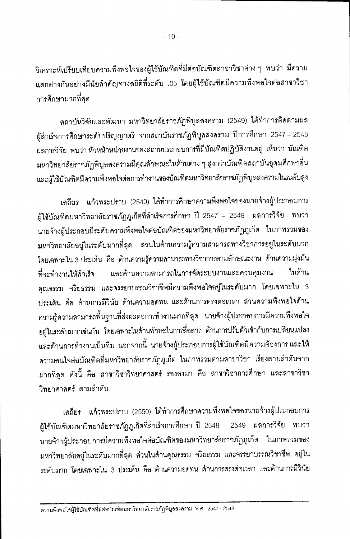วิเคราะห์เปรียบเทียบความพึงพอใจของผู้ใช้บัณฑิตที่มีต่อบัณฑิตสาขาวิชาต่าง ๆ พบว่า มีความ แตกต่างกันอย่างมีนัยสำคัญทางสถิติที่ระดับ .05 โดยผู้ใช้บัณฑิตมีความพึงพอใจต่อสาขาวิชา การศึกษามากที่สด

สถาบันวิจัยและพัฒนา มหาวิทยาลัยราชภัฏพิบูลสงคราม (2549) ได้ทำการติดตามผล ผู้สำเร็จการศึกษาระดับปริญญาตรี จากสถาบันราชภัฎพิบูลสงคราม ปีการศึกษา 2547 – 2548 ผลการวิจัย พบว่า หัวหน้าหน่วยงานของสถานประกอบการที่มีบัณฑิตปฏิบัติงานอยู่ เห็นว่า บัณฑิต มหาวิทยาลัยราชภัฏพิบูลสงครามมีคุณลักษณะในด้านต่าง ๆ สูงกว่าบัณฑิตสถาบันอุดมศึกษาอื่น และผู้ใช้บัณฑิตมีความพึงพอใจต่อการทำงานของบัณฑิตมหาวิทยาลัยราชภัฏพิบูลลงครามในระดับสูง

เสถียร แก้วพระปราบ (2549) ได้ทำการศึกษาความพึงพอใจของนายจ้างผู้ประกอบการ ผู้ใช้บัณฑิตมหาวิทยาลัยราชภัฏภูเก็ตที่ลำเร็จการศึกษา ปี 2547 – 2548 ผลการวิจัย พบว่า นายจ้างผู้ประกอบมีระดับความพึงพอใจต่อบัณฑิตของมหาวิทยาลัยราชภัฏภูเก็ต ในภาพรวมของ มหาวิทยาลัยอยู่ในระดับมากที่สุด ส่วนในด้านความรู้ความสามารถทางวิชาการอยู่ในระดับมาก โดยเฉพาะใน 3 ประเด็น คือ ด้านความรู้ความสามารถทางวิชาการตามลักษณะงาน ด้านความมุ่งมั่น และด้านความสามารถในการจัดระบบงานและควบคุมงาน ในด้าน ที่จะทำงานให้ลำเร็จ คุณธรรม จริยธรรม และจรรยาบรรณวิชาชีพมีความพึ่งพอใจอยู่ในระดับมาก โดยเฉพาะใน 3 ประเด็น คือ ด้านการมีวินัย ด้านความอดทน และด้านการตรงต่อเวลา ส่วนความพึงพอใจด้าน ความรู้ความสามารถพื้นฐานที่ส่งผลต่อการทำงานมากที่สุด นายจ้างผู้ประกอบการมีความพึงพอใจ อยู่ในระดับมากเช่นกัน โดยเฉพาะในด้านทักษะในการสื่อสาร ด้านการปรับตัวเข้ากับการเปลี่ยนแปลง และด้านการทำงานเป็นทีม นอกจากนี้ นายจ้างผู้ประกอบการผู้ใช้บัณฑิตมีความต้องการ และให้ ความสนใจต่อบัณฑิตที่มหาวิทยาลัยราชภัฏภูเก็ต ในภาพรวมตามสาขาวิชา เรียงตามลำดับจาก มากที่สุด ดังนี้ คือ สาขาวิชาวิทยาศาสตร์ รองลงมา คือ สาขาวิชาการศึกษา และสาขาวิชา วิทยาศาสตร์ ตามลำดับ

เสถียร แก้วพระปราบ (2550) ได้ทำการศึกษาความพึงพอใจของนายจ้างผู้ประกอบการ ผู้ใช้บัณฑิตมหาวิทยาลัยราชภัฏภูเก็ตที่สำเร็จการศึกษา ปี 2548 – 2549 ผลการวิจัย พบว่า นายจ้างผู้ประกอบการมีความพึ่งพอใจต่อบัณฑิตของมหาวิทยาลัยราชภัฏภูเก็ต ในภาพรวมของ มหาวิทยาลัยอยู่ในระดับมากที่สุด ส่วนในด้านคุณธรรม จริยธรรม และจรรยาบรรณวิชาชีพ อยู่ใน ระดับมาก โดยเฉพาะใน 3 ประเด็น คือ ด้านความอดทน ด้านการตรงต่อเวลา และด้านการมีวินัย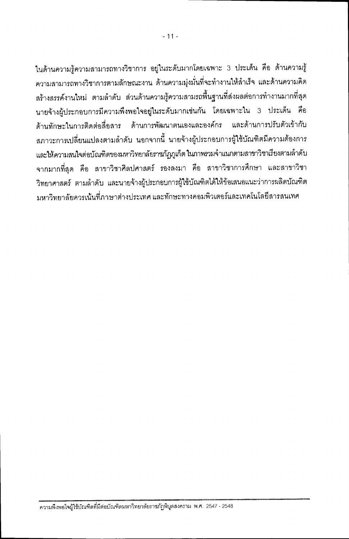ในด้านความรู้ความสามารถทางวิชาการ อยู่ในระดับมากโดยเฉพาะ 3 ประเด็น คือ ด้านความรู้ ้ความสามารถทางวิชาการตามลักษณะงาน ด้านความมุ่งมั่นที่จะทำงานให้ลำเร็จ และด้านความคิด ้ สร้างสรรค์งานใหม่ ตามลำดับ ส่วนด้านความรู้ความสามรถพื้นฐานที่ส่งผลต่อการทำงานมากที่สุด นายจ้างผู้ประกอบการมีความพึงพอใจอยู่ในระดับมากเช่นกัน โดยเฉพาะใน 3 ประเด็น คือ ด้านทักษะในการติดต่อสื่อสาร ด้านการพัฒนาตนเองและองค์กร และด้านการปรับตัวเข้ากับ ี สภาวะการเปลี่ยนแปลงตามลำดับ นอกจากนี้ นายจ้างผู้ประกอบการผู้ใช้บัณฑิตมีความต้องการ และให้ความสนใจต่อบัณฑิตของมหาวิทยาลัยราชภัฏภูเก็ต ในภาพรวมจำแนกตามสาขาวิชาเรียงตามลำดับ จากมากที่สุด คือ สาขาวิชาศิลปศาสตร์ รองลงมา คือ สาขาวิชาการศึกษา และสาขาวิชา ีวิทยาศาสตร์ ตามลำดับ และนายจ้างผู้ประกอบการผู้ใช้บัณฑิตได้ให้ข้อเสนอแนะว่าการผลิตบัณฑิต ้มหาวิทยาลัยควรเน้นที่ภาษาต่างประเทศ และทักษะทางคอมพิวเตอร์และเทคโนโลยีสารสนเทศ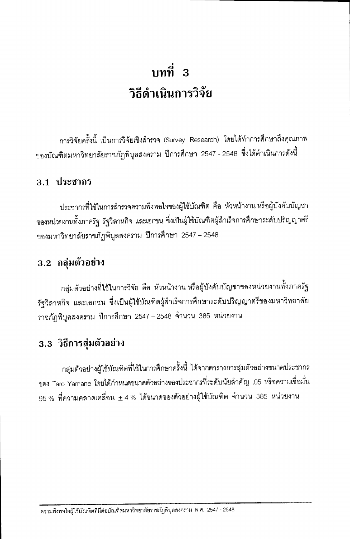## บทที่ 3 วิธีดำเนินการวิจัย

การวิจัยครั้งนี้ เป็นการวิจัยเชิงลำรวจ (Survey Research) โดยได้ทำการศึกษาถึงคุณภาพ ของบัณฑิตมหาวิทยาลัยราชภัฏพิบูลสงคราม ปีการศึกษา 2547 - 2548 ซึ่งได้ดำเนินการดังนี้

#### 3.1 ประชากร

ประชากรที่ใช้ในการลำรวจความพึงพอใจของผู้ใช้บัณฑิต คือ หัวหน้างาน หรือผู้บังคับบัญชา ของหน่วยงานทั้งภาครัฐ รัฐวิสาหกิจ และเอกชน ซึ่งเป็นผู้ใช้บัณฑิตผู้สำเร็จการศึกษาระดับปริญญาตรี ของมหาวิทยาลัยราชภัฏพิบูลสงคราม ปีการศึกษา 2547 – 2548

#### 3.2 กลุ่มตัวอย่าง

กลุ่มตัวอย่างที่ใช้ในการวิจัย คือ หัวหน้างาน หรือผู้บังคับบัญชาของหน่วยงานทั้งภาครัฐ รัฐวิลาหกิจ และเอกชน ซึ่งเป็นผู้ใช้บัณฑิตผู้ลำเร็จการศึกษาระดับปริญญาตรีของมหาวิทยาลัย ราชภัฏพิบูลสงคราม ปีการศึกษา 2547 – 2548 จำนวน 385 หน่วยงาน

### 3.3 วิธีการสุ่มตัวอย่าง

กลุ่มตัวอย่างผู้ใช้บัณฑิตที่ใช้ในการศึกษาครั้งนี้ ได้จากตารางการสุมตัวอย่างขนาดประชากร ของ Taro Yamane โดยได้กำหนดขนาดตัวอย่างของประชากรที่ระดับนัยสำคัญ .05 หรือความเชื่อมั่น  $95\,\%$  ที่ความคลาดเคลื่อน  $\pm\,4\,\%$  ได้ขนาดของตัวอย่างผู้ใช้บัณฑิต จำนวน 385 หน่วยงาน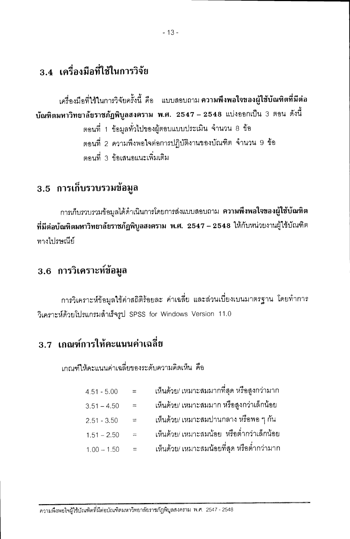### 3.4 เครื่องมือที่ใช้ในการวิจัย

เครื่องมือที่ใช้ในการวิจัยครั้งนี้ คือ แบบสอบถาม ความพึงพอใจของผู้ใช้บัณฑิตที่มีต่อ บัณฑิตมหาวิทยาลัยราชภัฏพิบูลสงคราม พ.ศ. 2547 – 2548 แบ่งออกเป็น 3 ตอน ดังนี้ ตอนที่ 1 ข้อมูลทั่วไปของผู้ตอบแบบประเมิน จำนวน 8 ข้อ ตอนที่ 2 ความพึงพอใจต่อการปฏิบัติงานของบัณฑิต จำนวน 9 ข้อ ตคนที่ 3 ข้อเสนอแนะเพิ่มเติม

### 3.5 การเก็บรวบรวมข้อมูล

การเก็บรวบรวมข้อมูลได้ดำเนินการโดยการส่งแบบสอบถาม **ความพึงพอใจของผู้ใช้บัณฑิต** ที่มีต่อบัณฑิตมหาวิทยาลัยราชภัฏพิบูลสงคราม พ.ศ. 2547 – 2548 ให้กับหน่วยงานผู้ใช้บัณฑิต ทางไปรษณีย์

### 3.6 การวิเคราะห์ข้อมูล

การวิเคราะห์ข้อมูลใช้ค่าสถิติร้อยละ ค่าเฉลี่ย และส่วนเบี่ยงเบนมาตรฐาน โดยทำการ วิเคราะห์ด้วยโปรแกรมสำเร็จรูป SPSS for Windows Version 11.0

### 3.7 เกณฑ์การให้คะแนนค่าเฉลี่ย

เกณฑ์ให้คะแนนค่าเฉลี่ยของระดับความคิดเห็น คือ

| $4.51 - 5.00$ | $\equiv$ | เห็นด้วย/ เหมาะสมมากที่สุด หรือสูงกว่ามาก  |
|---------------|----------|--------------------------------------------|
| $3.51 - 4.50$ | $\equiv$ | เห็นด้วย/ เหมาะสมมาก หรือสูงกว่าเล็กน้อย   |
| $2.51 - 3.50$ | $\equiv$ | ้เห็นด้วย/ เหมาะสมปานกลาง หรือพอ ๆ กัน     |
| $1.51 - 2.50$ | $=$      | เห็นด้วย/ เหมาะสมน้อย  หรือต่ำกว่าเล็กน้อย |
| $1.00 - 1.50$ | $=$      | เห็นด้วย/ เหมาะสมน้อยที่สุด หรือต่ำกว่ามาก |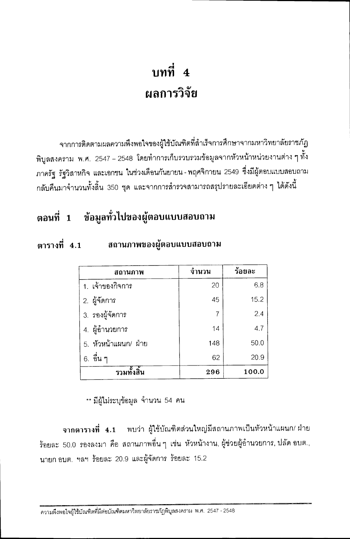## บทที่ 4 ผลการวิจัย

จากการติดตามผลความพึงพอใจของผู้ใช้บัณฑิตที่สำเร็จการศึกษาจากมหาวิทยาลัยราชภัฏ พิบูลสงคราม พ.ศ. 2547 – 2548 โดยทำการเก็บรวบรวมข้อมูลจากหัวหน้าหน่วยงานต่าง ๆ ทั้ง ภาครัฐ รัฐวิสาหกิจ และเอกชน ในช่วงเดือนกันยายน - พฤศจิกายน 2549 ซึ่งมีผู้ตอบแบบสอบถาม ึกลับคืนมาจำนวนทั้งสิ้น 350 ชุด และจากการสำรวจสามารถสรุปรายละเอียดต่าง ๆ ได้ดังนี้

### ิตอนที่ 1 ข้อมูลทั่วไปของผู้ตอบแบบสอบถาม

#### ตารางที่ 4.1 สถานภาพของผู้ตอบแบบสอบถาม

| ิสถานภาพ             | จำนวน          | ร้อยละ |
|----------------------|----------------|--------|
| 1. เจ้าของกิจการ     | 20             | 6.8    |
| 2. ผู้จัดการ         | 45             | 15.2   |
| 3. รองผู้จัดการ      | $\overline{7}$ | 2.4    |
| 4. ผู้อำนวยการ       | 14             | 4.7    |
| 5. หัวหน้าแผนก/ ฝ่าย | 148            | 50.0   |
| ้อื่น ๆ<br>6.        | 62             | 20.9   |
| รวมทั้งสิ้น          | 296            | 100.0  |

\*\* มีผู้ไม่ระบุข้อมูล จำนวน 54 คน

จากตารางที่ 4.1 พบว่า ผู้ใช้บัณฑิตส่วนใหญ่มีสถานภาพเป็นหัวหน้าแผนก/ ฝ่าย ร้อยละ 50.0 รองลงมา คือ สถานภาพอื่นๆ เช่น หัวหน้างาน, ผู้ช่วยผู้อำนวยการ, ปลัด อบต., นายก อบต. ฯลฯ ร้อยละ 20.9 และผู้จัดการ ร้อยละ 15.2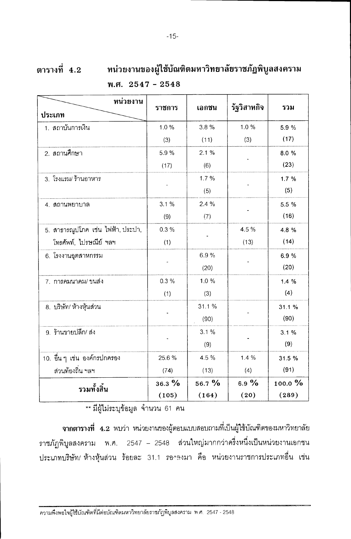| หน่วยงาน                          | ราชการ   | เอกชน    | รัฐวิสาหกิจ | รวม     |
|-----------------------------------|----------|----------|-------------|---------|
| ประเภท                            |          |          |             |         |
| 1. สถาบันการเงิน                  | 1.0%     | 3.8%     | 1.0%        | 5.9 %   |
|                                   | (3)      | (11)     | (3)         | (17)    |
| 2. สถานศึกษา                      | 5.9%     | 2.1%     |             | 8.0%    |
|                                   | (17)     | (6)      |             | (23)    |
| 3. โรงแรม/ ร้านอาหาร              |          | 1.7%     |             | 1.7%    |
|                                   |          | (5)      |             | (5)     |
| 4. สถานพยาบาล                     | 3.1%     | 2.4%     |             | 5.5 %   |
|                                   | (9)      | (7)      |             | (16)    |
| 5. สาธารณูปโภค เช่น ไฟฟ้า, ประปา, | 0.3%     |          | 4.5%        | 4.8%    |
| โทรศัพท์, ไปรษณีย์ ฯลฯ            | (1)      |          | (13)        | (14)    |
| 6. โรงงานอุตสาหกรรม               |          | 6.9%     |             | 6.9%    |
|                                   |          | (20)     |             | (20)    |
| 7. การคมนาคม/ ขนส่ง               | 0.3%     | 1.0%     |             | 1.4%    |
|                                   | (1)      | (3)      |             | (4)     |
| 8. บริษัท/ ห้างหุ้นส่วน           |          | 31.1%    |             | 31.1%   |
|                                   |          | (90)     |             | (90)    |
| 9. ร้านขายปลีก/ ส่ง               |          | 3.1%     |             | 3.1%    |
|                                   |          | (9)      |             | (9)     |
| 10. อื่น ๆ เช่น องค์กรปกครอง      | 25.6%    | 4.5 %    | 1.4%        | 31.5 %  |
| ส่วนท้องถิ่น ฯลฯ                  | (74)     | (13)     | (4)         | (91)    |
| รวมทั้งสิ้น                       | $36.3\%$ | $56.7\%$ | 6.9 $%$     | 100.0 % |
|                                   | (105)    | (164)    | (20)        | (289)   |

---<br>\*\* มีผู้ไม่ระบุข้อมูล จำนวน 61 คน

จากตารางที่ 4.2 พบว่า หน่วยงานของผู้ตอบแบบสอบถามที่เป็นผู้ใช้บัณฑิตของมหาวิทยาลัย ราชภัฏพิบูลสงคราม พ.ศ. 2547 – 2548 ส่วนใหญ่มากกว่าครึ่งหนึ่งเป็นหน่วยงานเอกชน ประเภทบริษัท/ ห้างหุ้นส่วน ร้อยละ 31.1 รองดงมา คือ หน่วยงานราชการประเภทอื่น เช่น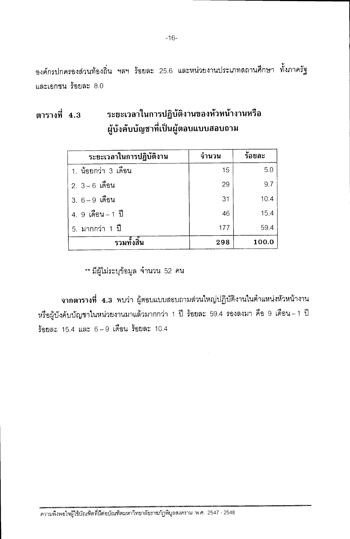้องค์กรปกครองส่วนท้องถิ่น ฯลฯ ร้อยละ 25.6 และหน่วยงานประเภทสถานศึกษา ทั้งภาครัฐ และเอกขน ร้อยละ 8.0

ระยะเวลาในการปฏิบัติงานของหัวหน้างานหรือ ตารางที่ 4.3 ผู้บังคับบัญชาที่เป็นผู้ตอบแบบสอบถาม

| ระยะเวลาในการปฏิบัติงาน | จำนวน | ร้อยละ |
|-------------------------|-------|--------|
| 1. น้อยกว่า 3 เดือน     | 15    | 5.0    |
| 2. 3-6 เดือน            | 29    | 9.7    |
| 3. 6-9 เดือน            | 31    | 10.4   |
| 4. 9 เดือน - 1 ปี       | 46    | 15.4   |
| 5. มากกว่า 1 ปี         | 177   | 59.4   |
| รวมทั้งสิ้น             | 298   | 100.0  |

\*\* มีผู้ไม่ระบุข้อมูล จำนวน 52 คน

ีจากตารางที่ 4.3 พบว่า ผู้ตอบแบบสอบถามส่วนใหญ่ปฏิบัติงานในตำแหน่งหัวหน้างาน หรือผู้บังคับบัญชาในหน่วยงานมาแล้วมากกว่า 1 ปี ร้อยละ 59.4 รองลงมา คือ 9 เดือน–1 ปี ร้อยละ 15.4 และ  $6-9$  เดือน ร้อยละ 10.4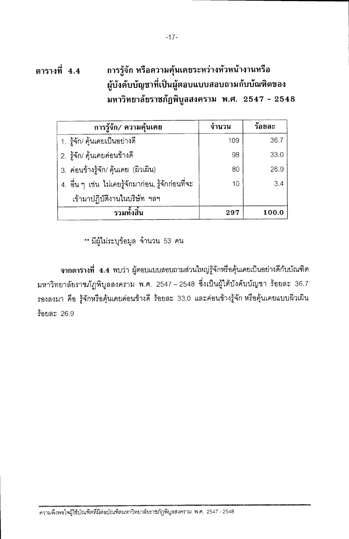#### ตารางที่ 4.4 การรู้จัก หรือความคุ้นเคยระหว่างหัวหน้างานหรือ ผู้บังคับบัญชาที่เป็นผู้ตอบแบบสอบถามกับบัณฑิตของ มหาวิทยาลัยราชภัฏพิบูลสงคราม พ.ศ. 2547 - 2548

| การรู้จัก/ ความคุ้นเคย                             | ึจำนวน | ร้อยละ |
|----------------------------------------------------|--------|--------|
| 1. รู้จัก/ คุ้นเคยเป็นอย่างดี                      | 109    | 36.7   |
| 2. รู้จัก/ คุ้นเคยค่อนข้างดี                       | 98     | 33.0   |
| 3. ค่อนข้างรู้จัก/ คุ้นเคย (ผิวเผิน)               | 80     | 26.9   |
| 4. อื่น ๆ เช่น ไม่เคยรู้จักมาก่อน, รู้จักก่อนที่จะ | 10     | 3.4    |
| เข้ามาปฏิบัติงานในบริษัท ฯลฯ                       |        |        |
| รวมทั้งสิ้น                                        | 297    | 100.0  |

\*\* มีผู้ไม่ระบุข้อมูล จำนวน 53 คน

จากตารางที่ 4.4 พบว่า ผู้ตอบแบบสอบถามส่วนใหญ่รู้จักหรือคุ้นเคยเป็นอย่างดีกับบัณฑิต มหาวิทยาลัยราชภัฎพิบูลสงคราม พ.ศ. 2547 – 2548 ซึ่งเป็นผู้ใต้บังคับบัญชา ร้อยละ 36.7 รองลงมา คือ รู้จักหรือคุ้นเคยค่อนข้างดี ร้อยละ 33.0 และค่อนข้างรู้จัก หรือคุ้นเคยแบบผิวเผิน ร้อยละ 26.9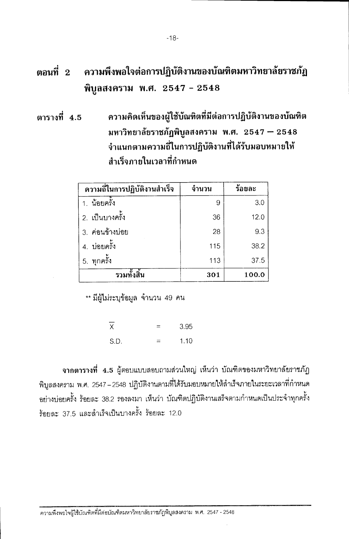#### ความพึงพอใจต่อการปฏิบัติงานของบัณฑิตมหาวิทยาลัยราชภัฏ ตอนที่  $2$ พิบูลสงคราม พ.ศ. 2547 - 2548

ความคิดเห็นของผู้ใช้บัณฑิตที่มีต่อการปฏิบัติงานของบัณฑิต ตารางที่ 4.5 มหาวิทยาลัยราชภัฏพิบูลสงคราม พ.ศ. 2547 – 2548 จำแนกตามความถี่ในการปฏิบัติงานที่ได้รับมอบหมายให้ สำเร็จภายในเวลาที่กำหนด

| ความถี่ในการปฏิบัติงานสำเร็จ | จำนวน | ร้อยละ |
|------------------------------|-------|--------|
| 1. น้อยครั้ง                 | 9     | 3.0    |
| 2. เป็นบางครั้ง              | 36    | 12.0   |
| 3. ค่อนข้างบ่อย              | 28    | 9.3    |
| 4. บ่อยครั้ง                 | 115   | 38.2   |
| 5. ทุกครั้ง                  | 113   | 37.5   |
| รวมทั้งสิ้น                  | 301   | 100.0  |

\*\* มีผู้ไม่ระบุข้อมูล จำนวน 49 คน

 $\overline{x}$ 3.95 S.D.  $1.10$  $=$ 

จากตารางที่ 4.5 ผู้ตอบแบบสอบถามส่วนใหญ่ เห็นว่า บัณฑิตของมหาวิทยาลัยราชภัฏ พิบูลสงคราม พ.ศ. 2547–2548 ปฏิบัติงานตามที่ได้รับมอบหมายให้ลำเร็จภายในระยะเวลาที่กำหนด ้อย่างบ่อยครั้ง ร้อยละ 38.2 รองลงมา เห็นว่า บัณฑิตปฏิบัติงานเสร็จตามกำหนดเป็นประจำทุกครั้ง ร้อยละ 37.5 และสำเร็จเป็นบางครั้ง ร้อยละ 12.0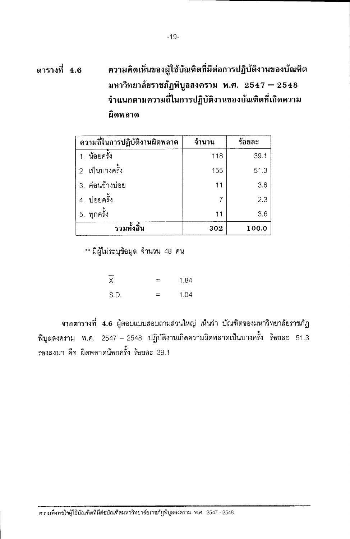#### ความคิดเห็นของผู้ใช้บัณฑิตที่มีต่อการปฏิบัติงานของบัณฑิต ตารางที่ 4.6 มหาวิทยาลัยราชภัฏพิบูลสงคราม พ.ศ. 2547 – 2548 จำแนกตามความถี่ในการปฏิบัติงานของบัณฑิตที่เกิดความ ผิดพลาด

| ความถี่ในการปฏิบัติงานผิดพลาด | จำนวน | ร้อยละ |
|-------------------------------|-------|--------|
| 1. น้อยครั้ง                  | 118   | 39.1   |
| 2. เป็นบางครั้ง               | 155   | 51.3   |
| 3. ค่อนข้างบ่อย               | 11    | 3.6    |
| 4. บ่อยครั้ง                  | 7     | 2.3    |
| ทุกครั้ง<br>5.                | 11    | 3.6    |
| รวมทั้งสิ้น                   | 302   | 100.0  |

\*\* มีผู้ไม่ระบุข้อมูล จำนวน 48 คน

| -<br>$\times$ | ≃   | 1.84 |
|---------------|-----|------|
| S.D.          | $=$ | 1.04 |

ีจากตารางที่ 4.6 ผู้ตอบแบบสอบถามส่วนใหญ่ เห็นว่า บัณฑิตของมหาวิทยาลัยราชภัฏ พิบูลสงคราม พ.ศ. 2547 – 2548 ปฏิบัติงานเกิดความผิดพลาดเป็นบางครั้ง ร้อยละ 51.3 รองลงมา คือ ผิดพลาดน้อยครั้ง ร้อยละ 39.1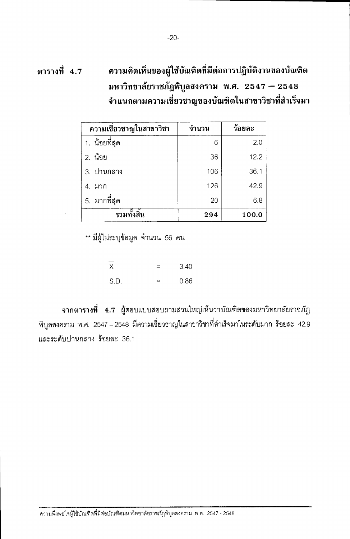| ความเชี่ยวชาญในสาขาวิชา | จำนวน | ร้อยละ |
|-------------------------|-------|--------|
| 1. น้อยที่สุด           | 6     | 2.0    |
| 2. น้อย                 | 36    | 12.2   |
| 3. ปานกลาง              | 106   | 36.1   |
| 4. มาก                  | 126   | 42.9   |
| 5. มากที่สุด            | 20    | 6.8    |
| รวมทั้งสิ้น             | 294   | 100.0  |

\*\* มีผู้ไม่ระบุข้อมูล จำนวน 56 คน

 $\overline{x}$ 3.40  $=$  $SD<sub>1</sub>$  $\equiv$ 0.86

ีจากตารางที่ 4.7 ผู้ตอบแบบสอบถามส่วนใหญ่เห็นว่าบัณฑิตของมหาวิทยาลัยราชภัฏ พิบูลสงคภม พ.ศ. 2547 – 2548 มีความเชี่ยวชาญในสาขาวิชาที่สำเร็จมาในระดับมาก ร้อยละ 42.9 และระดับปานกลาง ร้อยละ 36.1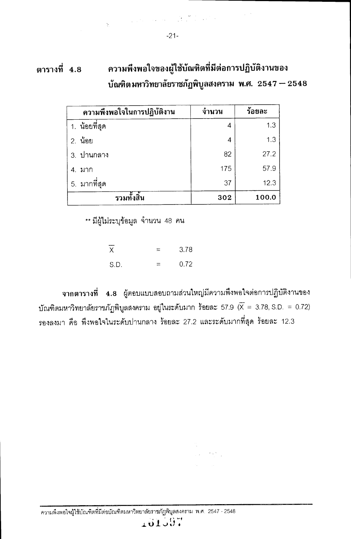| ความพึงพอใจในการปฏิบัติงาน | จำนวน | ร้อยละ |
|----------------------------|-------|--------|
| 1. น้อยที่สุด              | 4     | 1.3    |
| 2. น้อย                    | 4     | 1.3    |
| 3. ปานกลาง                 | 82    | 27.2   |
| 4. มาก                     | 175   | 57.9   |
| 5. มากที่สุด               | 37    | 12.3   |
| รวมทั้งสิ้น                | 302   | 100.0  |

\*\* มีผู้ไม่ระบุข้อมูล จำนวน 48 คน

| Χ    | $=$      | 3.78 |
|------|----------|------|
| S.D. | $\equiv$ | 0.72 |

จากตารางที่ 4.8 ผู้ตอบแบบสอบถามส่วนใหญ่มีความพึงพอใจต่อการปฏิบัติงานของ บัณฑิตมหาวิทยาลัยราชภัฏพิบูลสงคราม อยู่ในระดับมาก ร้อยละ 57.9 ( $\overline{X} = 3.78$ , S.D. = 0.72) รองลงมา คือ พึงพอใจในระดับปานกลาง ร้อยละ 27.2 และระดับมากที่สุด ร้อยละ 12.3

 $\frac{1}{2}$  ,  $\frac{1}{2}$  ,  $\frac{1}{2}$  ,  $\frac{1}{2}$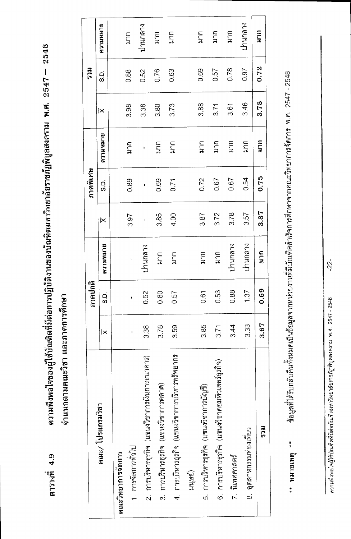ความพึงพอใจของผู้ใช้บัณฑิตที่มีต่อการปฏิบัติงานของบัณฑิตมหาวิทยาลัยราชภัฏพิบูลสงคราม พ.ศ. 2547 – 2548 ตารางที่ 4.9

จำแนกตามคณะวิชา และภาคการศึกษา

|                                                       |      | ภาคปกติ |                           |      | ภาคพิเศษ  |                  |      | <b>RECS</b> |                  |
|-------------------------------------------------------|------|---------|---------------------------|------|-----------|------------------|------|-------------|------------------|
| คณะ/ โปรแกรมวิชา                                      | lХ   | ပ္ပံ    | BLINKILLU                 | ⋉    | <u>(၁</u> | BLINNING         | ×    | ය<br>ශ්     | BLINNICLE        |
| คณะวิทยาการจดการ                                      |      |         |                           |      |           |                  |      |             |                  |
| 1. การจัดการทั่วไป                                    |      | ï       | ı                         | 3.97 | 0.89      | mut              | 3.98 | 0.88        | กาก              |
| 2. การบริหารธุรกิจ (แขนงวิชาการเงินการธนาคาร)         | 3.38 | 0.52    | ปานกลาง                   | ı    | ï         | ı                | 3.38 | 0.52        | ปานกลาง          |
| การบริหารธุรกิจ (แขนงวิชาการตลาด)<br>က<br>က           | 3.78 | 0.80    | $\overline{\overline{a}}$ | 3.85 | 0.69      | $\sum_{i=1}^{n}$ | 3.80 | 0.76        | $\sum_{i=1}^{n}$ |
| 4. การบริหารธุรกิจ (แขนงวิชาการบริหารทรัพยากร         | 3.59 | 0.57    | $\sum_{i=1}^{n}$          | 4.00 | 0.71      | ភ្ន              | 3.73 | 0.63        | mut              |
| มนุษย์)                                               |      |         |                           |      |           |                  |      |             |                  |
| การบริหารธุรกิจ (แขนงวิชาการบัญชี)<br>.<br>G          | 3.85 | 0.61    | มาก                       | 3.87 | 0.72      | ราย<br>ส         | 3.88 | 0.69        | ราค<br>ส         |
| การบริหารธุรกิจ (แขนงวิชาคอมพิวเตอร์ธุรกิจ)<br>.<br>စ | 3.71 | 0.53    | $\widetilde{H}$           | 3.72 | 0.67      | mut              | 3.71 | 0.57        | $\sum_{i=1}^{n}$ |
| 7. นิเทศศาลตร์                                        | 3.44 | 0.88    | ปานกลาง                   | 3.78 | 0.67      | ราค<br>ม         | 3.61 | 0.78        | กาก              |
| 8. อุตสาหกรรมท่องเที่ยว                               | 3.33 | 1.37    | ปานกลาง                   | 3.57 | 0.54      | mut              | 3.46 | 0.97        | ปานกลาง          |
| າດສ                                                   | 3.67 | 0.69    | กาก                       | 3.87 | 0.75      | มาก              | 3.78 | 0.72        | มาก              |
|                                                       |      |         |                           |      |           |                  |      |             |                  |

ช้อมูลที่ได้รับกลับคืนทั้งหมดเป็นช้อมูลจากหน่วยงานที่มีบัณฑิตสำเร็จการศึกษาจากคณะวิทยาการจัดการ พ.ศ. 2547 - 2548  $***$  MUSLNG  $***$ 

 $-22 -$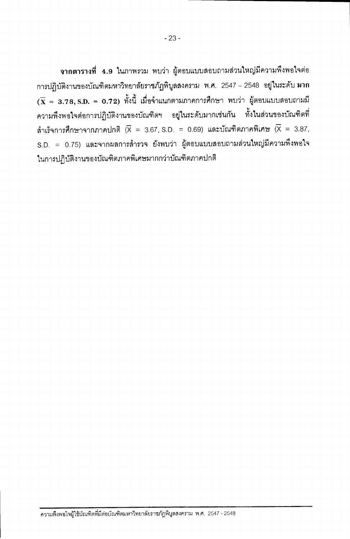ีจากตารางที่ 4.9 ในภาพรวม พบว่า ผู้ตอบแบบสอบถามส่วนใหญ่มีความพึงพอใจต่อ การปฏิบัติงานของบัณฑิตมหาวิทยาลัยราชภัฏพิบูลสงคราม พ.ศ. 2547 – 2548 อยู่ในระดับ มาก  $(\overline{\textbf{X}}~=~3.78, \textbf{S.D.}~=~\textbf{0.72})$  ทั้งนี้ เมื่อจำแนกตามภาคการศึกษา พบว่า ผู้ตอบแบบสอบถามมี ความพึงพอใจต่อการปฏิบัติงานของบัณฑิตฯ อยู่ในระดับมากเช่นกัน ทั้งในส่วนของบัณฑิตที่ สำเร็จการศึกษาจากภาคปกติ  $\overline{X} = 3.67$ , S.D. = 0.69) และบัณฑิตภาคพิเศษ  $\overline{X} = 3.87$ , S.D. = 0.75) และจากผลการสำรวจ ยังพบว่า ผู้ตอบแบบสอบถามส่วนใหญ่มีความพึงพอใจ ในการปฏิบัติงานของบัณฑิตภาคพิเศษมากกว่าบัณฑิตภาคปกติ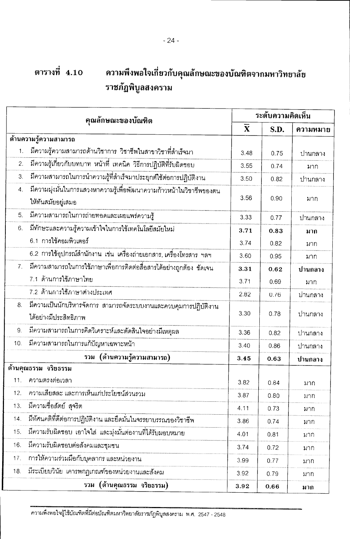#### ตารางที่ 4.10 ความพึงพอใจเกี่ยวกับคุณลักษณะของบัณฑิตจากมหาวิทยาลัย ราชภัฏพิบูลสงคราม

 $-24-$ 

|     | คุณลักษณะของบัณฑิต                                                                         | ระดับความคิดเห็น        |      |          |
|-----|--------------------------------------------------------------------------------------------|-------------------------|------|----------|
|     |                                                                                            | $\overline{\mathbf{X}}$ | S.D. | ความหมาย |
|     | ด้านความรู้ความสามารถ                                                                      |                         |      |          |
| 1.  | มีความรู้ความสามารถด้านวิชาการ วิชาชีพในสาขาวิชาที่สำเร็จมา                                | 3.48                    | 0.75 | ปานกลาง  |
| 2.  | มีความรู้เกี่ยวกับบทบาท หน้าที่ เทคนิค วิธีการปฏิบัติที่รับผิดชอบ                          | 3.55                    | 0.74 | มาก      |
| 3.  | มีความสามารถในการนำความรู้ที่สำเร็จมาประยุกต์ใช้ต่อการปฏิบัติงาน                           | 3.50                    | 0.82 | ปานกลาง  |
| 4.  | มีความมุ่งมั่นในการแสวงหาความรู้เพื่อพัฒนาความก้าวหน้าในวิชาชีพของตน<br>ให้ทันสมัยอยู่เสมอ | 3.56                    | 0.90 | มาก      |
| 5.  | มีความสามารถในการถ่ายทอดและเผยแพร่ความรู้                                                  | 3.33                    | 0.77 | ปานกลาง  |
| 6.  | มีทักษะและความรู้ความเข้าใจในการใช้เทคโนโลยีสมัยใหม่                                       | 3.71                    | 0.83 | มาก      |
|     | 6.1 การใช้คอมพิวเตอร์                                                                      | 3.74                    | 0.82 | มาก      |
|     | 6.2 การใช้อุปกรณ์สำนักงาน เช่น เครื่องถ่ายเอกสาร, เครื่องโทรสาร ฯลฯ                        | 3.60                    | 0.95 | มาก      |
| 7.  | มีความสามารถในการใช้ภาษาเพื่อการติดต่อสื่อสารได้อย่างถูกต้อง ชัดเจน                        | 3.31                    | 0.62 | ปานกลาง  |
|     | 7.1 ด้านการใช้ภาษาไทย                                                                      | 3.71                    | 0.69 | มาก      |
|     | 7.2 ด้านการใช้ภาษาต่างประเทศ                                                               | 2.82                    | 0.76 | ปานกลาง  |
| 8.  | มีความเป็นนักบริหารจัดการ สามารถจัดระบบงานและควบคุมการปฏิบัติงาน<br>ได้อย่างมีประสิทธิภาพ  | 3.30                    | 0.78 | ปานกลาง  |
| 9.  | มีความสามารถในการคิดวิเคราะห์และตัดสินใจอย่างมีเหตุผล                                      | 3.36                    | 0.82 | ปานกลาง  |
| 10. | มีความสามารถในการแก้ปัญหาเฉพาะหน้า                                                         | 3.40                    | 0.86 | ปานกลาง  |
|     | (ด้านความรู้ความสามารถ)<br>รวม                                                             | 3.45                    | 0.63 | ปานกลาง  |
|     | ด้านคุณธรรม จริยธรรม                                                                       |                         |      |          |
| 11. | ความตรงต่อเวลา                                                                             | 3.82                    | 0.84 | มาก      |
| 12. | ความเสียสละ และการเห็นแก่ประโยชน์ส่วนรวม                                                   | 3.87                    | 0.80 | มาก      |
| 13. | มีความชื่อสัตย์ สุจริต                                                                     | 4.11                    | 0.73 | มาก      |
| 14. | มีทัศนคติที่ดีต่อการปฏิบัติงาน และยึดมั่นในจรรยาบรรณของวิชาชีพ                             | 3.86                    | 0.74 | มาก      |
| 15. | มีความรับผิดชอบ เอาใจใส และมุ่งมั่นต่องานที่ได้รับมอบหมาย                                  | 4.01                    | 0.81 | มาก      |
| 16. | มีความรับผิดชอบต่อสังคมและชุมชน                                                            | 3.74                    | 0.72 | มาก      |
| 17. | การให้ความร่วมมือกับบุคลากร และหน่วยงาน                                                    | 3.99                    | 0.77 | มาก      |
| 18. | มีระเบียบวินัย เคารพกฎเกณฑ์ของหน่วยงานและสังคม                                             | 3.92                    | 0.79 | มาก      |
|     | รวม (ด้านคุณธรรม จริยธรรม)                                                                 | 3.92                    | 0.66 | มาก      |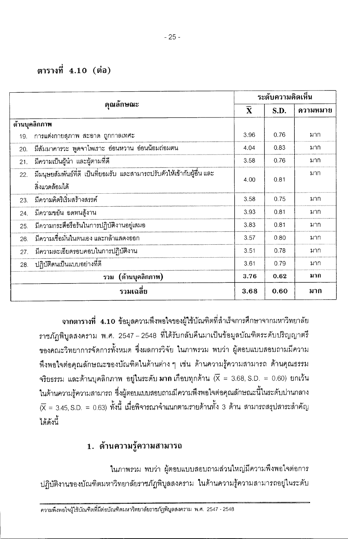#### ตารางที่ 4.10 (ต่อ)

|     |                                                                                                                                                                                                                                                                                                                                                                                             | ระดับความคิดเห็น<br>$\overline{\mathbf{x}}$<br>S.D.<br>3.96<br>0.76<br>0.83<br>4.04<br>3.58<br>0.76<br>0.81<br>4.00<br>3.58<br>0.75<br>3.93<br>0.81<br>3.83<br>0.81<br>3.57<br>0.80 |      |          |  |
|-----|---------------------------------------------------------------------------------------------------------------------------------------------------------------------------------------------------------------------------------------------------------------------------------------------------------------------------------------------------------------------------------------------|-------------------------------------------------------------------------------------------------------------------------------------------------------------------------------------|------|----------|--|
|     | คุณลักษณะ                                                                                                                                                                                                                                                                                                                                                                                   |                                                                                                                                                                                     |      | ความหมาย |  |
|     | ด้านบุคลิกภาพ<br>่ การแต่งกายลุภาพ สะอาด ถูกกาลเทศะ<br>มีสัมมาคารวะ พูดจาไพเราะ อ่อนหวาน อ่อนน้อมถ่อมตน<br>้มีความเป็นผู้นำ และผู้ตามที่ดี<br>้ มีมนุษยสัมพันธ์ที่ดี เป็นที่ยอมรับ และสามารถปรับตัวให้เข้ากับผู้อื่น และ<br>สิ่งแวดล้อมได้<br>มีความคิดริเริ่มสร้างสรรค์<br>่ มีความขยัน อดทนสู้งาน<br>มีความกระตือรือรันในการปฏิบัติงานอยู่เสมอ<br>้ มีความเชื่อมั่นในตนเอง และกล้าแสดงออก |                                                                                                                                                                                     |      |          |  |
| 19. |                                                                                                                                                                                                                                                                                                                                                                                             |                                                                                                                                                                                     |      | มาก      |  |
| 20. |                                                                                                                                                                                                                                                                                                                                                                                             |                                                                                                                                                                                     |      | มาก      |  |
| 21. |                                                                                                                                                                                                                                                                                                                                                                                             |                                                                                                                                                                                     |      | มาก      |  |
| 22. |                                                                                                                                                                                                                                                                                                                                                                                             |                                                                                                                                                                                     |      | มาก      |  |
|     |                                                                                                                                                                                                                                                                                                                                                                                             |                                                                                                                                                                                     |      |          |  |
| 23. |                                                                                                                                                                                                                                                                                                                                                                                             |                                                                                                                                                                                     |      | มาก      |  |
| 24. |                                                                                                                                                                                                                                                                                                                                                                                             |                                                                                                                                                                                     |      | มาก      |  |
| 25. |                                                                                                                                                                                                                                                                                                                                                                                             |                                                                                                                                                                                     |      | มาก      |  |
| 26. |                                                                                                                                                                                                                                                                                                                                                                                             |                                                                                                                                                                                     |      | มาก      |  |
| 27. | ้มีความละเอียดรอบคอบในการปฏิบัติงาน                                                                                                                                                                                                                                                                                                                                                         | 3.51                                                                                                                                                                                | 0.78 | มาก      |  |
| 28. | ปฏิบัติตนเป็นแบบอย่างที่ดี                                                                                                                                                                                                                                                                                                                                                                  | 3.61                                                                                                                                                                                | 0.79 | มาก      |  |
|     | รวม (ด้านบุคลิกภาพ)                                                                                                                                                                                                                                                                                                                                                                         | 3.76                                                                                                                                                                                | 0.62 | มาก      |  |
|     | รวมเฉลีย                                                                                                                                                                                                                                                                                                                                                                                    | 3.68                                                                                                                                                                                | 0.60 | มาก      |  |

จากตารางที่ 4.10 ข้อมูลความพึงพอใจของผู้ใช้บัณฑิตที่สำเร็จการศึกษาจากมหาวิทยาลัย ราชภัฏพิบูลสงคราม พ.ศ. 2547 – 2548 ที่ได้รับกลับคืนมาเป็นข้อมูลบัณฑิตระดับปริญญาตรี ของคณะวิทยาการจัดการทั้งหมด ซึ่งผลการวิจัย ในภาพรวม พบว่า ผู้ตอบแบบสอบถามมีความ ้พึงพอใจต่อคุณลักษณะของบัณฑิตในด้านต่าง ๆ เช่น ด้านความรู้ความสามารถ ด้านคุณธรรม จริยธรรม และด้านบุคลิกภาพ อยู่ในระดับ มาก เกือบทุกด้าน  $\overline{\mathsf{X}}=3.68$ , S.D. = 0.60) ยกเว้น ในด้านความรู้ความสามารถ ซึ่งผู้ตอบแบบสอบถามมีความพึงพอใจต่อคุณลักษณะนี้ในระดับปานกลาง  $(\overline{\mathsf{X}}=3.45,$  S.D.  $=0.63)$  ทั้งนี้ เมื่อพิจารณาจำแนกตามรายด้านทั้ง 3 ด้าน สามารถสรุปสาระสำคัญ ได้ดังนี้

#### 1. ด้านความรู้ความสามารถ

ในภาพรวม พบว่า ผ้ตอบแบบสอบถามส่วนใหญ่มีความพึงพอใจต่อการ ปฏิบัติงานของบัณฑิตมหาวิทยาลัยราชภัฏพิบูลสงคราม ในด้านความรู้ความสามารถอยู่ในระดับ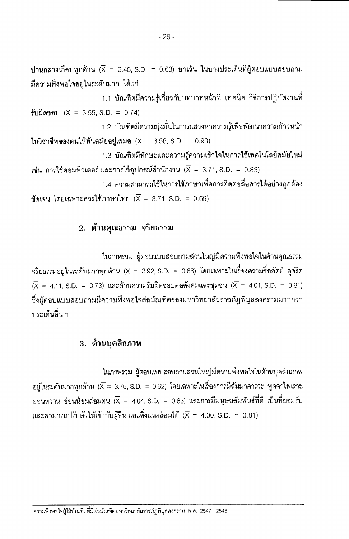ปานกลางเกือบทุกด้าน ( $\overline{\mathsf{x}}$  = 3.45, S.D. = 0.63) ยกเว้น ในบางประเด็นที่ผู้ตอบแบบสอบถาม มีความพึ่งพอใจอยู่ในระดับมาก ได้แก่

1.1 บัณฑิตมีความรู้เกี่ยวกับบทบาทหน้าที่ เทคนิค วิธีการปฏิบัติงานที่ รับผิดชอบ  $(\overline{X} = 3.55, S.D. = 0.74)$ 

1.2 บัณฑิตมีความมุ่งมั่นในการแสวงหาความรู้เพื่อพัฒนาความก้าวหน้า ในวิชาชีพของตนให้ทันสมัยอยู่เสมอ  $\overline{X} = 3.56$ , S.D. = 0.90)

1.3 บัณฑิตมีทักษะและความร้ความเข้าใจในการใช้เทคโนโลยีสมัยใหม่ เช่น การใช้คอมพิวเตอร์ และการใช้อุปกรณ์ลำนักงาน  $(\overline{X} = 3.71, S.D. = 0.83)$ 

1.4 ความสามารถใช้ในการใช้ภาษาเพื่อการติดต่อสื่อสารได้อย่างถูกต้อง

ชัดเจน โดยเฉพาะควรใช้ภาษาไทย ( $\overline{X} = 3.71$ , S.D. = 0.69)

#### 2. ด้านคุณธรรม จริยธรรม

ในภาพรวม ผู้ตอบแบบสอบถามส่วนใหญ่มีความพึงพอใจในด้านคุณธรรม จริยธรรมอยู่ในระดับมากทุกด้าน ( $\overline{\mathsf{x}}=$  3.92, S.D. = 0.66) โดยเฉพาะในเรื่องความซื่อสัตย์ สุจริต  $\overline{X}$  = 4.11 S.D. = 0.73) และด้านความรับผิดชอบต่อสังคมและชุมชน ( $\overline{X}$  = 4.01, S.D. = 0.81) ซึ่งผู้ตอบแบบสอบถามมีความพึงพอใจต่อบัณฑิตของมหาวิทยาลัยราชภัฎพิบูลสงครามมากกว่า ประเด็นอื่น ๆ

#### 3. ด้านบุคลิกภาพ

ในภาพรวม ผู้ตอบแบบสอบถามส่วนใหญ่มีความพึงพอใจในด้านบุคลิกภาพ อยู่ในระดับมากทุกด้าน ( $\bar{X}$  = 3.76, S.D. = 0.62) โดยเฉพาะในเรื่องการมีสัมมาคารวะ ทูดจาไพเราะ อ่อนหวาน อ่อนน้อมถ่อมตน ( $\overline{\mathsf{x}}\,=\,$  4.04, S.D.  $\,=\,$  0.83) และการมีมนุษยสัมพันธ์ที่ดี เป็นที่ยอมรับ และสามารถปรับตัวให้เข้ากับผู้อื่น และสิ่งแวดล้อมได้  $(\overline{X} = 4.00, S.D. = 0.81)$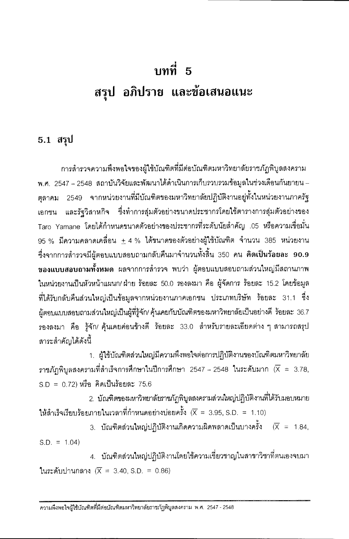## ึบทที่ 5 สรุป อภิปราย และข้อเสนอแนะ

#### 5.1 สรุป

การสำรวจความพึงพอใจของผู้ใช้บัณฑิตที่มีต่อบัณฑิตมหาวิทยาลัยราชภัฏพิบูลสงคราม พ.ศ. 2547 – 2548 สถาบันวิจัยและพัฒนาได้ดำเนินการเก็บรวบรวมข้อมูลในช่วงเดือนกันยายน – ้ตุลาคม 2549 จากหน่วยงานที่มีบัณฑิตของมหาวิทยาลัยปฏิบัติงานอยู่ทั้งในหน่วยงานภาครัฐ และรัฐวิสาหกิจ ซึ่งทำการสุ่มตัวอย่างขนาดประชากรโดยใช้ตารางการสุ่มตัวอย่างของ เอกชน Taro Yamane โดยได้กำหนดขนาดตัวอย่างของประชากรที่ระดับนัยสำคัญ .05 หรือความเชื่อมั่น  $95~\%$  มีความคลาดเคลื่อน  $\pm~4~\%$  ได้ขนาดของตัวอย่างผู้ใช้บัณฑิต จำนวน 385 หน่วยงาน ซึ่งจากการสำรวจมีผู้ตอบแบบสอบถามกลับคืนมาจำนวนทั้งสิ้น 350 คน คิดเป็นร้อยละ 90.9 ุ ของ<mark>แบบสอบถามทั้งหมด</mark> ผลจากการลำรวจ พบว่า ผู้ตอบแบบสอบถามส่วนใหญ่มีสถานภาพ ในหน่วยงานเป็นหัวหน้าแผนก/ ฝ่าย ร้อยละ 50.0 รองลงมา คือ ผู้จัดการ ร้อยละ 15.2 โดยข้อมูล ที่ได้รับกลับคืนส่วนใหญ่เป็นข้อมูลจากหน่วยงานภาคเอกชน ประเภทบริษัท ร้อยละ 31.1 ซึ่ง ้ผู้ตอบแบบสอบถามส่วนใหญ่เป็นผู้ที่รู้จัก/ คุ้นเคยกับบัณฑิตของมหาวิทยาลัยเป็นอย่างดี ร้อยละ 36.7 รองลงมา คือ รู้จัก/ คุ้นเคยค่อนข้างดี ร้อยละ 33.0 สำหรับรายละเอียดต่าง ๆ สามารถสรุป สาระลำคัญได้ดังนี้

1. ผู้ใช้บัณฑิตส่วนใหญ่มีความพึ่งพอใจต่อการปฏิบัติงานของบัณฑิตมหาวิทยาลัย ราชภัฎพิบูลสงครามที่สำเร็จการศึกษาในปีการศึกษา 2547 - 2548 ในระดับมาก  $(\overline{X} = 3.78,$  $SD = 0.72$ ) หรือ คิดเป็นร้อยละ 75.6

2. บัณฑิตของมหาวิทยาลัยภาชภัฏพิบูลสงครามส่วนใหญ่ปฏิบัติงานที่ได้รับมอบหมาย ให้สำเร็จเรียบร้อยภายในเวลาที่กำหนดอย่างบ่อยครั้ง  $(\overline{X} = 3.95, S.D. = 1.10)$ 

 $3.$  บัณฑิตส่วนใหญ่ปฏิบัติงานเกิดความผิดพลาดเป็นบางครั้ง  $(\overline{X} = 1.84,$  $S.D. = 1.04$ 

4. บัณฑิตส่วนใหญ่ปฏิบัติงานโดยใช้ความเชี่ยวชาญในสาขาวิชาที่ตนเองจบมา ในระดับปานกลาง ( $\overline{X}$  = 3.40, S.D. = 0.86)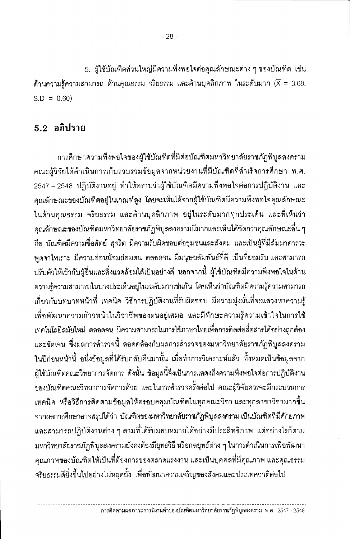5. ผู้ใช้บัณฑิตส่วนใหญ่มีความพึ่งพอใจต่อคุณลักษณะต่าง ๆ ของบัณฑิต เช่น ด้านความรู้ความสามารถ ด้านคุณธรรม จริยธรรม และด้านบุคลิกภาพ ในระดับมาก ( $\overline{X}$  = 3.68,  $S.D = 0.60$ 

#### $5.2$  อภิปราย

การศึกษาความพึงพอใจของผู้ใช้บัณฑิตที่มีต่อบัณฑิตมหาวิทยาลัยราชภัฏพิบูลสงคราม คณะผู้วิจัยได้ดำเนินการเก็บรวบรวมข้อมูลจากหน่วยงานที่มีบัณฑิตที่สำเร็จการศึกษา พ.ศ. 2547 – 2548 ปฏิบัติงานอยู่ ทำให้ทราบว่าผู้ใช้บัณฑิตมีความพึงพอใจต่อการปฏิบัติงาน และ คุณลักษณะของบัณฑิตอยู่ในเกณฑ์สูง โดยจะเห็นได้จากผู้ใช้บัณฑิตมีความพึงพอใจคุณลักษณะ ในด้านคุณธรรม จริยธรรม และด้านบุคลิกภาพ อยู่ในระดับมากทุกประเด็น และที่เห็นว่า ้คณลักษณะของบัณฑิตมหาวิทยาลัยราชภัฏพิบูลสงครามมีมากและเห็นได้ชัดกว่าคุณลักษณะอื่น ๆ คือ บัณฑิตมีความซื่อสัตย์ สุจริต มีความรับผิดชอบต่อชุมชนและสังคม และเป็นผู้ที่มีสัมมาคารวะ ทูดจาไพเราะ มีความอ่อนน้อมถ่อมตน ตลอดจน มีมนุษยสัมพันธ์ที่ดี เป็นที่ยอมรับ และสามารถ ู้ ปรับตัวให้เข้ากับผู้อื่นและสิ่งแวดล้อมได้เป็นอย่างดี นอกจากนี้ ผู้ใช้บัณฑิตมีความพึงพอใจในด้าน ้ความรู้ความสามารถในบางประเด็นอยู่ในระดับมากเช่นกัน โดยเห็นว่าบัณฑิตมีความรู้ความสามารถ เกี่ยวกับบทบาทหน้าที่ เทคนิค วิธีการปฏิบัติงานที่รับผิดชอบ มีความมุ่งมั่นที่จะแสวงหาความรู้ ้เพื่อพัฒนาความก้าวหน้าในวิชาชีพของตนอยู่เสมอ และมีทักษะความรู้ความเข้าใจในการใช้ เทคโนโลยีสมัยใหม่ ตลอดจน มีความสามารถในการใช้ภาษาไทยเพื่อการติดต่อสื่อสารได้อย่างถูกต้อง และชัดเจน ซึ่งผลการสำรวจนี้ สอดคล้องกับผลการสำรวจของมหาวิทยาลัยราชภัฏพิบูลสงคราม ในปีก่อนหน้านี้ อนึ่งข้อมูลที่ได้รับกลับคืนมานั้น เมื่อทำการวิเคราะห์แล้ว ทั้งหมดเป็นข้อมูลจาก ผู้ใช้บัณฑิตคณะวิทยาการจัดการ ดังนั้น ข้อมูลนี้จึงเป็นการแสดงถึงความพึงพอใจต่อการปฏิบัติงาน ของบัณฑิตคณะวิทยาการจัดการด้วย และในการสำรวจครั้งต่อไป คณะผู้วิจัยควรจะมีกระบวนการ ้เทคนิค หรือวิธีการติดตามข้อมูลให้ครอบคลุมบัณฑิตในทุกคณะวิชา และทุกสาขาวิชามากขึ้น ้จากผลการศึกษาอาจสรุปได้ว่า บัณฑิตของมหาวิทยาลัยราชภัฏพิบูลสงคราม เป็นบัณฑิตที่มีศักยภาพ และสามารถปฏิบัติงานต่าง ๆ ตามที่ได้รับมอบหมายได้อย่างมีประสิทธิภาพ แต่อย่างไรก็ตาม ุมหาวิทยาลัยราชภัฏพิบูลสงครามยังคงต้องมียุทธวิธี หรือกลยุทธ์ต่าง ๆ ในการดำเนินการเพื่อพัฒนา คุณภาพของบัณฑิตให้เป็นที่ต้องการของตลาดแรงงาน และเป็นบุคคลที่มีคุณภาพ และคุณธรรม จริยธรรมดียิ่งขึ้นไปอย่างไม่หยุดยั้ง เพื่อพัฒนาความเจริญของสังคมและประเทศชาติต่อไป

การติดตามผลภาวะการมีงานทำของบัณฑิตมหาวิทยาลัยราชภัฏพิบูลสงคราม พ.ศ. 2547 - 2548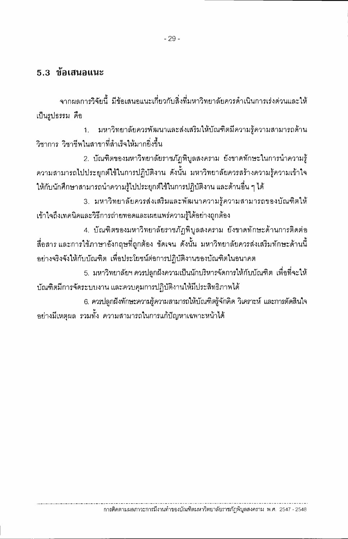#### $5.3$  ทัลเสนอแนะ

ำจากผลการวิจัยนี้ มีข้อเสนอแนะเกี่ยวกับสิ่งที่มหาวิทยาลัยควรดำเนินการเร่งด่วนและให้ เป็นรปธรรม คือ

1. มหาวิทยาลัยควรพัฒนาและส่งเสริมให้บัณฑิตมีความรู้ความสามารถด้าน วิชาการ วิชาชีพใบสาขาที่สำเร็จให้มากยิ่งขึ้น

2. บัณฑิตของมหาวิทยาลัยราชภัฏพิบูลสงคราม ยังขาดทักษะในการนำความรู้ ้ ความสามารถไปประยุกต์ใช้ในการปฏิบัติงาน ดังนั้น มหาวิทยาลัยควรสร้างความรู้ความเข้าใจ ให้กับนักศึกษาสามารถนำความรู้ไปประยุกต์ใช้ในการปฏิบัติงาน และด้านอื่น ๆ ได้

3. มหาวิทยาลัยควรส่งเสริมและพัฒนาความรู้ความสามารถของบัณฑิตให้ เข้าใจถึงเทคนิคและวิธีการถ่ายทอดและเผยแพร่ความรู้ได้อย่างถูกต้อง

4. บัณฑิตของมหาวิทยาลัยราชภัฏพิบูลสงคราม ยังขาดทักษะด้านการติดต่อ สื่อสาร และการใช้ภาษาอังกฤษที่ถูกต้อง ชัดเจน ดังนั้น มหาวิทยาลัยควรส่งเสริมทักษะด้านนี้ ้อย่างจริงจังให้กับบัณฑิต เพื่อประโยชน์ต่อการปฏิบัติงานของบัณฑิตในอนาคต

5. มหาวิทยาลัยฯ ควรปลูกฝังความเป็นนักบริหารจัดการให้กับบัณฑิต เพื่อที่จะให้ บัณฑิตมีการจัดระบบงาน และควบคุมการปฏิบัติงานให้มีประสิทธิภาพได้

6. ควรปลูกฝังทักษะความรู้ความสามารถให้บัณฑิตรู้จักคิด วิเคราะห์ และการตัดสินใจ ้อย่างมีเหตุผล รวมทั้ง ความสามารถในการแก้ปัญหาเฉพาะหน้าได้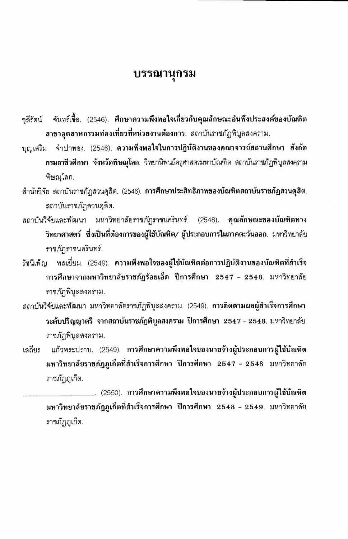#### บรรณานุกรม

- จันทร์เชื้อ. (2546). ศึกษาความพึงพอใจเกี่ยวกับคุณลักษณะอันพึงประสงค์ของบัณฑิต ชลีรัตน์ ี่สาขาอุตสาหกรรมท่องเที่ยวที่หน่วยงานต้องการ. สถาบันราชภัฏพิบูลสงคราม.
- บุญเสริม จำปาทอง. (2546). ความพึงพอใจในการปฏิบัติงานของคณาจารย์สถานศึกษา สังกัด ิ **กรมอาชีวศึกษา จังหวัดพิษณุโลก**. วิทยานิพนธ์ครุศาสตรมหาบัณฑิต สถาบันราชภัฏพิบูลสงคราม พิษณุโลก.
- ลำนักวิจัย สถาบันราชภัฏสวนดุสิต. (2546). การศึกษาประสิทธิภาพของบัณฑิตสถาบันราชภัฏสวนดุสิต. ลถาบันราชภัฏสวนดุลิต.
- สถาบันวิจัยและพัฒนา มหาวิทยาลัยราชภัฏราชนครินทร์. (2548). คุณลักษณะของบัณฑิตทาง วิทยาศาสตร์ ซึ่งเป็นที่ต้องการของผู้ใช้บัณฑิต/ ผู้ประกอบการในภาคตะวันออก. มหาวิทยาลัย ราชภัฏราชนครินทร์.
- พลเยี่ยม. (2549). ความพึงพอใจของผู้ใช้บัณฑิตต่อการปฏิบัติงานของบัณฑิตที่สำเร็จ รัชนีเพ็ญ การศึกษาจากมหาวิทยาลัยราชภัฏร้อยเอ็ด ปีการศึกษา 2547 - 2548. มหาวิทยาลัย ราชภัฏพิบูลสงคราม.
- สถาบันวิจัยและพัฒนา มหาวิทยาลัยราชภัฏพิบูลสงคราม. (2549). การติดตามผลผู้สำเร็จการศึกษา ระดับปริญญาตรี จากสถาบันราชภัฏพิบูลสงคราม ปีการศึกษา 2547 – 2548. มหาวิทยาลัย ราชภัฏพิบูลสงคราม.
- แก้วพระปราบ. (2549). การศึกษาความพึงพอใจของนายจ้างผู้ประกอบการผู้ใช้บัณฑิต เสถียร มหาวิทยาลัยราชภัฏภูเก็ตที่สำเร็จการศึกษา ปีการศึกษา 2547 - 2548. มหาวิทยาลัย ราชภัฏภูเก็ต.

\_\_\_. (2550). การศึกษาความพึงพอใจของนายจ้างผู้ประกอบการผู้ใช้บัณฑิต มหาวิทยาลัยราชภัฏภูเก็ตที่สำเร็จการศึกษา ปีการศึกษา 2548 - 2549. มหาวิทยาลัย ราชภัฏภูเก็ต.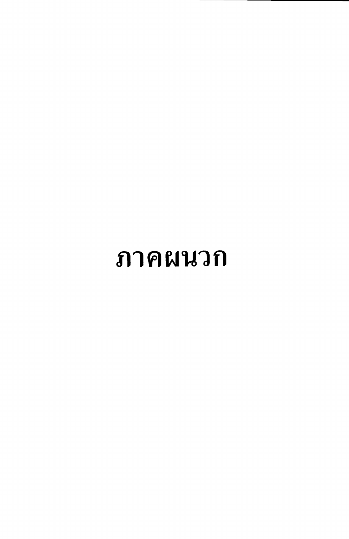# ภาคผนวก

 $\mathcal{L}^{\text{max}}_{\text{max}}$  and  $\mathcal{L}^{\text{max}}_{\text{max}}$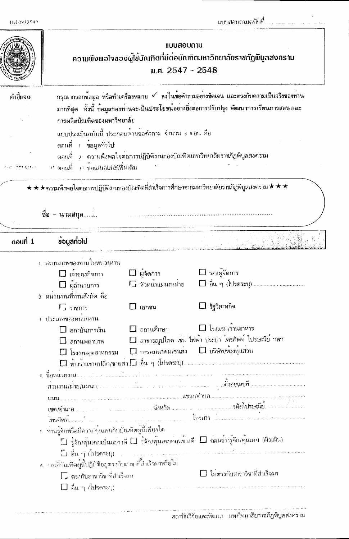

*IIUUล้อบดาม* ความพึงพอโจของผู้ใช<sup>้</sup>บัณฑิตที่มีต<sup>่</sup>อบัณฑิตมหาวิทยาลัยราชภัฏพิบูลสงคราม พ.ศ. 2547 - 2548

| คำขี้แจง | ึกรุณากรอกข้อมูล หรือทำเครื่องหมาย ✔ ลงในข้อคำถามอย่างชัดเจน และตรงกับความเป็นจริงของทาน                  |
|----------|-----------------------------------------------------------------------------------------------------------|
|          | มากที่สุด   ทั้งนี้ ข้อมูลของทานจะเป็นประโยชน์อยางยิ่งตอการปรับปรุง พัฒนาการเรียนการสอนและ                |
|          | การผลิตบัณฑิตของมหาวิทยาลัย                                                                               |
|          | ี แบบประเมินฉบับนี้ ประกอบด้วยขอคำถาม จำนวน 3 ตอน คือ                                                     |
|          | ีตอนที่ 1 ข้อมูลทั่วไป<br>ี่ ตอนที่ _ 2 _ ความพึงพอใจตอการปฏิบัติงานทองบัณฑิตมหาวิทยาลัยราชภัฏพิบูลสงคราม |
|          |                                                                                                           |

★ ★ ★ ความพึงพอใจต่อการปฏิบัติงานของบัณฑิตที่สำเร็จการศึกษาจากมหาวิทยาลัยราชภัฏพิบูลสงคราม ★ ★ ★

ชื่อ - นามสกุล.........

| $\alpha$ oun $\dot{1}$ | ข้อมูลทั่วไป                                      |                                                                  |                                                                                                                    |
|------------------------|---------------------------------------------------|------------------------------------------------------------------|--------------------------------------------------------------------------------------------------------------------|
|                        | ้า. สถานภาพของทานในหน่วยงาน                       |                                                                  |                                                                                                                    |
|                        | $\Box$ เจ้าของกิจการ                              | $\square$ ผู้จัดการ                                              | $\Box$ รองผู้จัดการ                                                                                                |
|                        | $\square$ ผู้อำนวยการ                             | E หัวหน้าแผนก/ฝ่าย                                               |                                                                                                                    |
|                        | ว์. หนวยงานที่ทานสังกัด คือ                       |                                                                  |                                                                                                                    |
|                        | $\Gamma$ ง ราชการ                                 | เอกชน                                                            | $\Box$ รัฐวิสาหกิจ                                                                                                 |
|                        | <u>่ง. ประเภทของหน่วยงาน</u>                      |                                                                  |                                                                                                                    |
|                        | $\Box$ สถาบันการเงิน                              | $\Box$ สถานศึกษา                                                 | $\Box$ โรงแรม/รานอาหาร                                                                                             |
|                        | สถานพยาบาล                                        |                                                                  | □ สาธารณูปโภค เช่น ไฟฟ้า ประปา โทรศัพท์ ไปรษณีย์ ฯลฯ                                                               |
|                        | $\square$ โรงงานอุตสาทกรรม                        | $\square$ การคมนาคม/ขนสง $\square$ บริษัท/ทางหุ้นสวน             |                                                                                                                    |
|                        |                                                   |                                                                  |                                                                                                                    |
|                        |                                                   |                                                                  |                                                                                                                    |
|                        |                                                   |                                                                  |                                                                                                                    |
|                        |                                                   |                                                                  |                                                                                                                    |
|                        |                                                   |                                                                  |                                                                                                                    |
|                        |                                                   |                                                                  |                                                                                                                    |
|                        | รท่านวัจักหรือมีความคุ้นเคยกับบัณฑิตผู้นี้เพียงใด |                                                                  |                                                                                                                    |
|                        |                                                   |                                                                  | $\Box$ รู้จัก/กุ้นเคยเป็นอยาวดี $\Box$ ร <sup>ู้</sup> จัก/คุ้นเคยคอนข้างดี $\Box$ คอนข้างรู้จัก/คุ้นเคย (ผิวเผิน) |
|                        | ปี อื่น ๆ (โปรดระบุ).                             | an an Dùbhlachd ann an 1970.<br>Bhailtean Chuidhean an Chuidhean |                                                                                                                    |
|                        |                                                   |                                                                  |                                                                                                                    |
|                        | [ ] ตรงกับสาขาวิชาที่สำเร็จมา                     |                                                                  | □ ไม่ตรงกับสาขาวิชาที่สำเร็จมา                                                                                     |
|                        | - คืน ๆ (โปรดระบุ)                                |                                                                  |                                                                                                                    |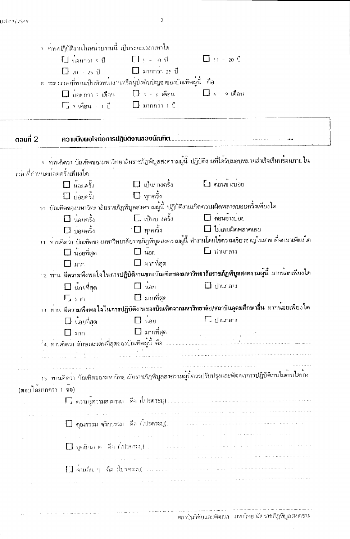$\sim$  –2  $\sim$ 

|                     | ่ 8 - ระยะเวลาที่ท่านเป็นท้วทน้ำงานหรือผู้บังคับบัญชาของบัณฑิตผู้นี้ - คือ                                                                                                                                                                                                                                                                                     |                                                              |                                                                                                                                   |
|---------------------|----------------------------------------------------------------------------------------------------------------------------------------------------------------------------------------------------------------------------------------------------------------------------------------------------------------------------------------------------------------|--------------------------------------------------------------|-----------------------------------------------------------------------------------------------------------------------------------|
|                     |                                                                                                                                                                                                                                                                                                                                                                | $\Box$ นอยกว่า 3 เดือน $\Box$ 3 - 6 เดือน $\Box$ 6 - 9 เดือน |                                                                                                                                   |
|                     | $\Gamma$ $\rightarrow$ $\mathfrak{gl}_0$ $\mathfrak{g}_0$ $\mathfrak{g}_1$ $\mathfrak{g}_2$ $\mathfrak{g}_2$ $\mathfrak{g}_3$ $\mathfrak{g}_4$ $\mathfrak{g}_5$ $\mathfrak{g}_7$ $\mathfrak{g}_8$ $\mathfrak{g}_9$ $\mathfrak{g}_1$ $\mathfrak{g}_2$ $\mathfrak{g}_3$ $\mathfrak{g}_4$ $\mathfrak{g}_5$ $\mathfrak{g}_7$ $\mathfrak{g}_8$ $\mathfrak{g}_9$ $\$ |                                                              |                                                                                                                                   |
|                     |                                                                                                                                                                                                                                                                                                                                                                |                                                              |                                                                                                                                   |
| $au$ π 2            |                                                                                                                                                                                                                                                                                                                                                                |                                                              |                                                                                                                                   |
|                     |                                                                                                                                                                                                                                                                                                                                                                |                                                              | จ. ทานกิดว่า บัณฑิตของมหาวิทยาลัยราชภัฏพิบูลสงครามผู้นี้ ปฏิบัติงานที่ได <sup>้</sup> รับมอบหมายสำเร็จเรียบร <sup>้</sup> อยภายใน |
|                     | เวลาที่กำหนดบ่อยครั้งเพียงใด                                                                                                                                                                                                                                                                                                                                   |                                                              |                                                                                                                                   |
|                     | $\Box$ น้อยครั้ง                                                                                                                                                                                                                                                                                                                                               |                                                              |                                                                                                                                   |
|                     | $\square$ บอยครั้ง                                                                                                                                                                                                                                                                                                                                             | $\Box$ ทุกครั้ง                                              |                                                                                                                                   |
|                     |                                                                                                                                                                                                                                                                                                                                                                |                                                              | 10. บัณฑิตของมหาวิทยาลัยราชภัฏพิบูลสงครามผู้นี้ ปฏิบัติงานเกิดความผิดพลาดบ่อยครั้งเพียงใด                                         |
|                     | $\Box$ นอยครั้ง                                                                                                                                                                                                                                                                                                                                                | $\square$ เป็นบางครั้ง $\square$ คอนขางบ่อย                  |                                                                                                                                   |
|                     |                                                                                                                                                                                                                                                                                                                                                                |                                                              | $\square$ บอยครั้ง $\square$ ทุกครั้ง $\square$ ไมเคยผิดพลาดเลย                                                                   |
|                     |                                                                                                                                                                                                                                                                                                                                                                |                                                              | บบ ทานคิดว่า บัณฑิตของมหาวิทยาลัยราชภัฏพิบูลสงครามผู้นี้ ทำงานโดยใช้ความเชี่ยวชาญในสาขาที่จบมาเพียงใด                             |
|                     | $\Box$ นอยที่สุด                                                                                                                                                                                                                                                                                                                                               | $\Box$ $\mu_{\text{0}}$                                      | $\Box$ ปานกลาง                                                                                                                    |
|                     | $\square$ ann                                                                                                                                                                                                                                                                                                                                                  | $\Box$ มากที่สุด                                             |                                                                                                                                   |
|                     |                                                                                                                                                                                                                                                                                                                                                                |                                                              | <u>า2. ทาน มีความพึงพอใจในการปฏิบัติงานของบัณฑิตของมหาวิทยาลัยราชภัฏพิบูลสงครามผู้นี้ มากน<sup>้</sup>อยเพียงใด</u>               |
|                     | $\square$ น้อยที่สุด                                                                                                                                                                                                                                                                                                                                           | $\Box$ wee                                                   | $\Box$ ปานกลาง                                                                                                                    |
|                     | $\Gamma_{\mu\text{ ann}}$                                                                                                                                                                                                                                                                                                                                      | $\Box$ มากที่สุด                                             |                                                                                                                                   |
|                     |                                                                                                                                                                                                                                                                                                                                                                |                                                              | า3. ท่าน มีความพึงพอใจในการปฏิบัติงานของบัณฑิตจากมหาวิทยาลัย/สถาบันอุดมศึกษาอื่น มากน <sup>้</sup> อยเพียงใด                      |
|                     | $\square$ นอยที่สุด                                                                                                                                                                                                                                                                                                                                            | $\Box$ $\mathbf{u}_{\partial U}$                             | $\Gamma$ ปานกลาง                                                                                                                  |
|                     | $\Box$ $\Box$                                                                                                                                                                                                                                                                                                                                                  | ่ ⊟ิ มากที่สุด                                               |                                                                                                                                   |
|                     |                                                                                                                                                                                                                                                                                                                                                                |                                                              |                                                                                                                                   |
|                     |                                                                                                                                                                                                                                                                                                                                                                |                                                              |                                                                                                                                   |
|                     |                                                                                                                                                                                                                                                                                                                                                                |                                                              | าร. ท่านคิดว่า บัณฑิตของมหาวิทยาลัยราชภัฏพิบูลสงครามผู้นี้ควรปรับปรุงและพัฒนาการปฏิบัติงานในด้านใดบ <sup>้</sup> ง                |
|                     |                                                                                                                                                                                                                                                                                                                                                                |                                                              |                                                                                                                                   |
|                     |                                                                                                                                                                                                                                                                                                                                                                |                                                              |                                                                                                                                   |
| (ตอบไดมากกว่า 1 ขอ) |                                                                                                                                                                                                                                                                                                                                                                |                                                              |                                                                                                                                   |
|                     |                                                                                                                                                                                                                                                                                                                                                                |                                                              |                                                                                                                                   |
|                     |                                                                                                                                                                                                                                                                                                                                                                |                                                              |                                                                                                                                   |
|                     |                                                                                                                                                                                                                                                                                                                                                                |                                                              |                                                                                                                                   |
|                     |                                                                                                                                                                                                                                                                                                                                                                | the companies of the companies of the companies              | فعالج والمعتقل ومعتد ومتمعتهم المحاربات المحدثين والمتحدث والمتحدث                                                                |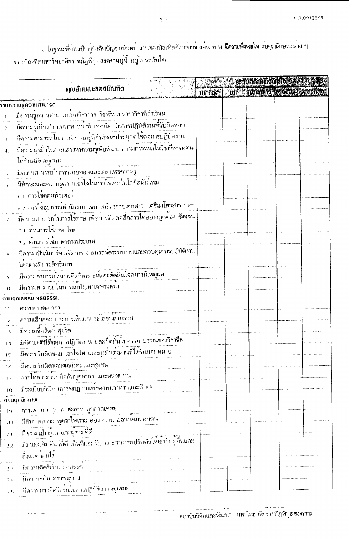าธ. ใบฐานะที่ทานเป็นผู้บังคับบัญชา/หัวหน้างานของบัณฑิตดังกล่าวขางตน ท<mark>าน มีความพึงพอใจ ต่อคุณลักษณะตาง ๆ</mark><br>ของบัณฑิตมหาวิทยาลัยราชภัฏพิบูลสงครามผู้นี้ อยู่ในระดับใด

|                |                                                                                                                             |  | staunonumouoly start             |  |
|----------------|-----------------------------------------------------------------------------------------------------------------------------|--|----------------------------------|--|
|                | คุณลักษณะของบัณฑิต                                                                                                          |  | umnac um kulunally kuova kisenao |  |
|                | ກ້ານຄວາມຮູ້ຄວາມສາມາຣັດ                                                                                                      |  |                                  |  |
|                | ้มีความรู้ความสามารถด <sup>้</sup> านวิชาการ วิชาชีพในสาขาวิชาที่สำเร็จมา                                                   |  |                                  |  |
|                | ้มีความรูเกี่ยวกับบทบาท หน้าที่ เทคนิค วิธีการปฏิบัติงานที่รับผิดชอบ                                                        |  |                                  |  |
| 3              | มีความสามารถในการนำความรู้ที่สำเร็จมาประยุกต์ใช้ตอการปฏิบัตงาน                                                              |  |                                  |  |
|                | มีความมุ่งมั่นในการแสวงหาความรูเพื่อพัฒนาความกาวหนาในวิชาชีพของตน<br>ให <sup>้</sup> ทันสมัยอยู่เสมอ                        |  |                                  |  |
|                |                                                                                                                             |  |                                  |  |
|                | ้มีความสามารถในการถายทอดและเผยแพร่ความรู้<br>มีทักษะและความรู้ความเข้าใจในการใช้เทคโนโลยีสมัยใหม่<br>6.1 การใช้คอมพิวเตอร์  |  |                                  |  |
|                | ้ 6.2 การใช้อุปกรณ์สำนักงาน เช่น เครื่องถ่ายเอกสาร, เครื่องโทรสาร ฯลฯ                                                       |  |                                  |  |
| 7 <sub>1</sub> | ้ มีความสามารถในการใช้ภาษาเพื่อการติดตอลือสารได้อย่างถูกต้อง ชัดเจน<br>7.1 ดานการใช้ภาษาไทย<br>7.2 ด้านการใช้ภาษาต่างประเทศ |  |                                  |  |
|                |                                                                                                                             |  |                                  |  |
| $\bf{8}$ .     | ได้อย่างมีประสิทธิภาพ                                                                                                       |  |                                  |  |
|                | มีความสามารถในการคิดวิเคราะห์และตัดสินใจอย่างมีเหตุผล                                                                       |  |                                  |  |
|                | มีความสามารถในการแก้ปัญหาเฉพาะหนา                                                                                           |  |                                  |  |
| $1\Omega$      | ดานกุณรรรม จริยรรรม                                                                                                         |  |                                  |  |
| 11.            | ความตรงตอเวลา                                                                                                               |  |                                  |  |
| 12.            | ความเสียสละ และการเห็นแก่ประโยชน์ส่วนรวม                                                                                    |  |                                  |  |
| 13.            | มีความซื่อสัตย สุจริต                                                                                                       |  |                                  |  |
| 14.            | ้มีทัศนกติที่ดีตอการปฏิบัตงาน และยึดมั่นในจรรยาบรรณของวิชาชีพ                                                               |  |                                  |  |
| 15             | ้มีความรับผิดชอบ เอาใจใส่ และมุ่งมั่นตองานที่ได้รับมอบหมาย                                                                  |  |                                  |  |
| 16             | มีความรับผิดชอบตอสังคมและชุมชน                                                                                              |  |                                  |  |
| 12.            |                                                                                                                             |  |                                  |  |
| 18             | มีระเบียบวินัย เคารพกฎเกณฑ์ของหนวยงานและสังคม                                                                               |  |                                  |  |
|                | ดานบุคลิกกาพ                                                                                                                |  |                                  |  |
| 19             | การแต่งกายสุภาพ สะอาด ถูกกาลเทศเะ                                                                                           |  |                                  |  |
| 20             | ้มีสัมมาการวะ พูดจาไพเราะ ออนทวาน ออนน้อมถอมตน                                                                              |  |                                  |  |
| 2 <sub>1</sub> | ้มีความเป็นผู้นำ และผูตามที่ดี                                                                                              |  |                                  |  |
| 22             | มีมนุษยสัมพันธ์ที่ดี เป็นที่ยอมรับ และสามารถปรับตัวให้เขากับผูลื่นและ                                                       |  |                                  |  |
|                | สิ่งแวดล้อมได                                                                                                               |  |                                  |  |
| 23             | มีความคิดวิเว็บสรางสรรค์                                                                                                    |  |                                  |  |
| 24             | มีความขยัน อดทนสูงาน                                                                                                        |  |                                  |  |
| 2.5            | มีความกระตือรือรนในการปฏิบัติงานอยูเสมอ                                                                                     |  |                                  |  |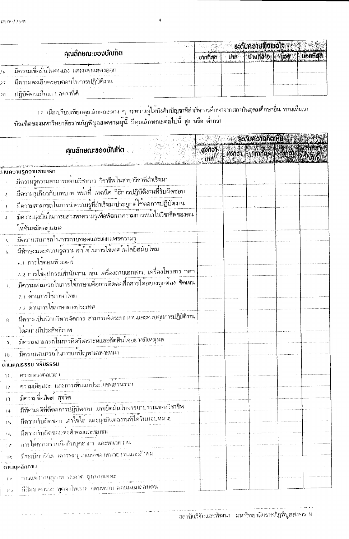|                                                                                                                | . |  |                             |  |
|----------------------------------------------------------------------------------------------------------------|---|--|-----------------------------|--|
| ้คุณลักษณะของบณฑติ                                                                                             |   |  |                             |  |
| ่ มีความเชื่อมันไนตนเอง และกลาแสดงออก<br>contract the contract                                                 |   |  | <b>SEE CONTRACTOR</b> CARDS |  |
| the company and the company of the company of the control of the company<br>มีความละเอียดรอบคอบในการปฏิบัติงาน |   |  |                             |  |
| the company of the company of the company of the company of the company of the<br>ปฏิบัติตนเป็นแบบอย่างที่ดี   |   |  |                             |  |

า เมื่อเปรียบเทียบคุณลักษณะตาง ๆ ระหว่างผู่ใต่บังคับบัญชาที่สำเร็จการศึกษาจากสถาบันอุดมศึกษาอื่น ทานเห็นว่า<br>บัณฑิตของมหาวิทยาลัยราชภัฏพิบูลสงครามผู้นี้ มีคุณลักษณะต่อไปนี้ สูง หรือ ต่ำกว่า

|                        |                                                                                                                                            | ู้ ระดับความคิดเห็น      |  |                         |  |  |  |
|------------------------|--------------------------------------------------------------------------------------------------------------------------------------------|--------------------------|--|-------------------------|--|--|--|
|                        | ้ <b>คุณลักษณะของบัณฑิต</b>                                                                                                                | $\frac{1}{2}$<br>្យាក់ ! |  | gonor annue conoradamen |  |  |  |
|                        | ວັນເຄວາມຮູ້ຄວາມ <b>ສາມາຣ</b> ດ                                                                                                             |                          |  |                         |  |  |  |
|                        |                                                                                                                                            |                          |  |                         |  |  |  |
| $\lambda$              | ้มีความรู้เกี่ยวกับบทบาท หน้าที่ เทคนิค วิธีการปฏิบัติงานที่รับผิดชอบ                                                                      |                          |  |                         |  |  |  |
|                        | มีความสามารถในการนำความรู้ที่สำเร็จมาประยุกต์ใช้ตอการปฏิบัตงาน                                                                             |                          |  |                         |  |  |  |
|                        | ้มีความมุ่งมั่นในการแสวงหาความรูเพื่อพัฒนากวามกาวหน้าในวิชาชีพของตน                                                                        |                          |  |                         |  |  |  |
|                        | ให <sup>้</sup> ทันสมัยอยู่เสมอ                                                                                                            |                          |  |                         |  |  |  |
|                        | ่มีความสามารถในการถ่ายทอดและเผยแพร่ความรู                                                                                                  |                          |  |                         |  |  |  |
| 6.                     | ้มีทักษะและความรู้ความเข้าใจในการใช้เทคโนโลยีสมัยใหม                                                                                       |                          |  |                         |  |  |  |
|                        | 6.1 การใช้คอมพิวเตอร์                                                                                                                      |                          |  |                         |  |  |  |
|                        | . 6.2 การใช้อุปกรณ์สำนักงาน เช่น เครื่องถ่ายเอกสาร, เครื่องโทรสาร ฯลฯ<br>มีความสามารถในการใช้ภาษาเพื่อการติดตอลือสารได้อย่างถูกต้อง ชัดเจน |                          |  |                         |  |  |  |
| $\mathcal{L}$          |                                                                                                                                            |                          |  |                         |  |  |  |
|                        | 7.1 ด้านการใช้ภาษาไทย                                                                                                                      |                          |  |                         |  |  |  |
|                        | 7.2 ดานการใช้ภาษาตางประเทศ                                                                                                                 |                          |  |                         |  |  |  |
| $\mathsf{R}$           | ้มีความเป็นนักบริหารจัดการ สามารถจัดระบบงานและควบคุมการปฏิบัติงาน                                                                          |                          |  |                         |  |  |  |
|                        | ได้อย่างมีประสิทธิภาพ                                                                                                                      |                          |  |                         |  |  |  |
|                        | ้<br>  มีความสามารถในการคิดวิเคราะห์และตัดสินใจอย่างมีเหตุผล                                                                               |                          |  |                         |  |  |  |
| 10 <sub>1</sub>        | ้มีความสามารถในการแก่ปัญหาเฉพาะหน่า                                                                                                        |                          |  |                         |  |  |  |
|                        | ดานคุณรรรม จริยรรรม                                                                                                                        |                          |  |                         |  |  |  |
| 11.                    | ความตรงต่อเวลา                                                                                                                             |                          |  |                         |  |  |  |
| 12.                    | ์ ความเสียสละ และการเห็นแกประโยชน์ส่วนรวม                                                                                                  |                          |  |                         |  |  |  |
| 13.                    | มีความซื้อสัตย์ สุจริต                                                                                                                     |                          |  |                         |  |  |  |
| 14                     | ้มีทัศนกติที่ดีตอการปฏิบัตราน และยึดมั่นในจรรยาบรรณของวิชาชีพ                                                                              |                          |  |                         |  |  |  |
| 15                     | ้มีความรับผิดชอบ เอาใจใส และมุ่งมันตองานที่ได้รับมอบหมาย                                                                                   |                          |  |                         |  |  |  |
| 16                     | มีความรับผิดชอบตอสังคมและชุมชน                                                                                                             |                          |  |                         |  |  |  |
| $\frac{1}{2}$          |                                                                                                                                            |                          |  |                         |  |  |  |
| 19                     | มีระเบียบวินัย เคารพกฎเกณฑ์ของทุนวยงานและสับคม                                                                                             |                          |  |                         |  |  |  |
|                        | ดานบุคลิกภาพ                                                                                                                               |                          |  |                         |  |  |  |
| $\mathbb{P}^{\bullet}$ | การแต่ากายสุภาพ สะอาด ถูกกาลเทศะ                                                                                                           |                          |  |                         |  |  |  |
| $\mathcal{F}$ )        |                                                                                                                                            |                          |  |                         |  |  |  |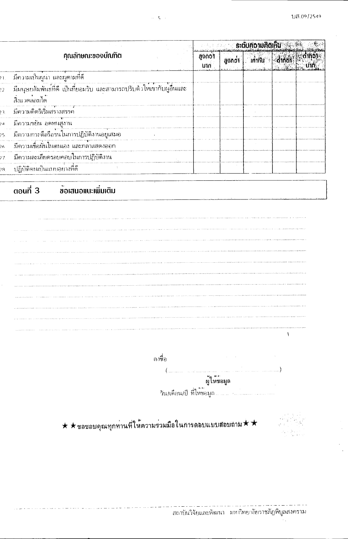$\overline{\phantom{a}}$ 

 $\ddot{\phantom{a}}$ 

|                |                                |                                                                            |             | ระดับความคิดเห็น<br>- |                |                      |         |  |  |
|----------------|--------------------------------|----------------------------------------------------------------------------|-------------|-----------------------|----------------|----------------------|---------|--|--|
|                | <b>ศุณลักษณะของบัณฑิต</b>      |                                                                            | mond<br>utn | สูงกว่า               | <b>เท่ากัน</b> | $\frac{1}{\sqrt{2}}$ | ้ต่ำก่อ |  |  |
| ٠١.            | ้มีความเป็นผู้นำ และผูตามที่ดี |                                                                            |             |                       |                |                      |         |  |  |
| $\overline{2}$ | สิ่งแวดลอมได <sup>้</sup>      |                                                                            |             |                       |                |                      |         |  |  |
| $^{3}$         | มีความคิดริเริ่มสรางสรรค์      |                                                                            |             |                       |                |                      |         |  |  |
| $\overline{a}$ |                                | -มีความขยัน อดทนสูงาน<br>-มีความกระตือรือรนในการปฏิบัติงานอยู่เสมอ<br>-    |             |                       |                |                      |         |  |  |
| 15             |                                |                                                                            |             |                       |                |                      |         |  |  |
| ļβ             |                                | ้<br>มีความเชื่อมั่นในตนเอง และกลาแสดงออก                                  |             |                       |                |                      |         |  |  |
| 7              |                                | ้<br>มีความละเอียดรอบคอบในการปฏิบัติงาน                                    |             |                       |                |                      |         |  |  |
| ąς             |                                |                                                                            |             |                       |                |                      |         |  |  |
|                |                                |                                                                            |             |                       |                |                      |         |  |  |
|                | ตอนที่ 3                       | ข้อเสนอแนะเพิ่มเติม                                                        |             |                       |                |                      |         |  |  |
|                |                                |                                                                            |             |                       |                |                      |         |  |  |
|                |                                | ลงที่อ                                                                     |             |                       |                |                      |         |  |  |
|                |                                |                                                                            | ผู้ให้ขอมูล |                       |                |                      |         |  |  |
|                |                                | $\star\star$ ขอขอบคุณทุกทานที่ให้ความร่วมมือในการตอบแบบสอบถาม $\star\star$ |             |                       |                |                      |         |  |  |

 $\mathcal{L}_{\mathcal{A}}$